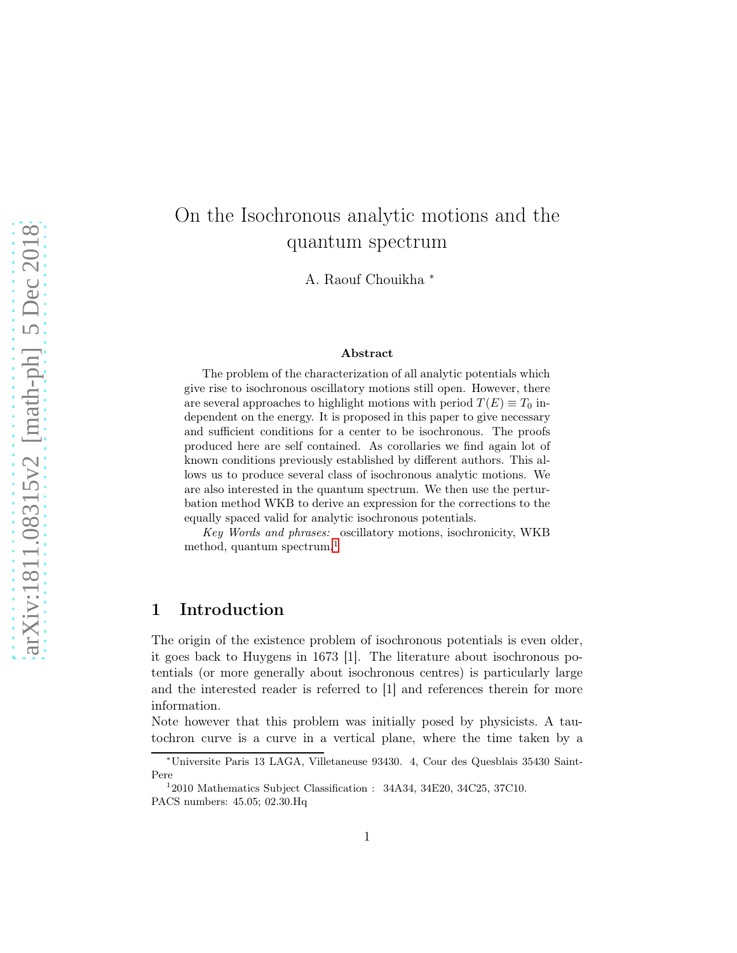# On the Isochronous analytic motions and the quantum spectrum

A. Raouf Chouikha <sup>∗</sup>

#### Abstract

The problem of the characterization of all analytic potentials which give rise to isochronous oscillatory motions still open. However, there are several approaches to highlight motions with period  $T(E) \equiv T_0$  independent on the energy. It is proposed in this paper to give necessary and sufficient conditions for a center to be isochronous. The proofs produced here are self contained. As corollaries we find again lot of known conditions previously established by different authors. This allows us to produce several class of isochronous analytic motions. We are also interested in the quantum spectrum. We then use the perturbation method WKB to derive an expression for the corrections to the equally spaced valid for analytic isochronous potentials.

Key Words and phrases: oscillatory motions, isochronicity, WKB method, quantum spectrum.<sup>[1](#page-0-0)</sup>

## 1 Introduction

The origin of the existence problem of isochronous potentials is even older, it goes back to Huygens in 1673 [1]. The literature about isochronous potentials (or more generally about isochronous centres) is particularly large and the interested reader is referred to [1] and references therein for more information.

Note however that this problem was initially posed by physicists. A tautochron curve is a curve in a vertical plane, where the time taken by a

<sup>∗</sup>Universite Paris 13 LAGA, Villetaneuse 93430. 4, Cour des Quesblais 35430 Saint-Pere

<span id="page-0-0"></span><sup>&</sup>lt;sup>1</sup>2010 Mathematics Subject Classification : 34A34, 34E20, 34C25, 37C10. PACS numbers: 45.05; 02.30.Hq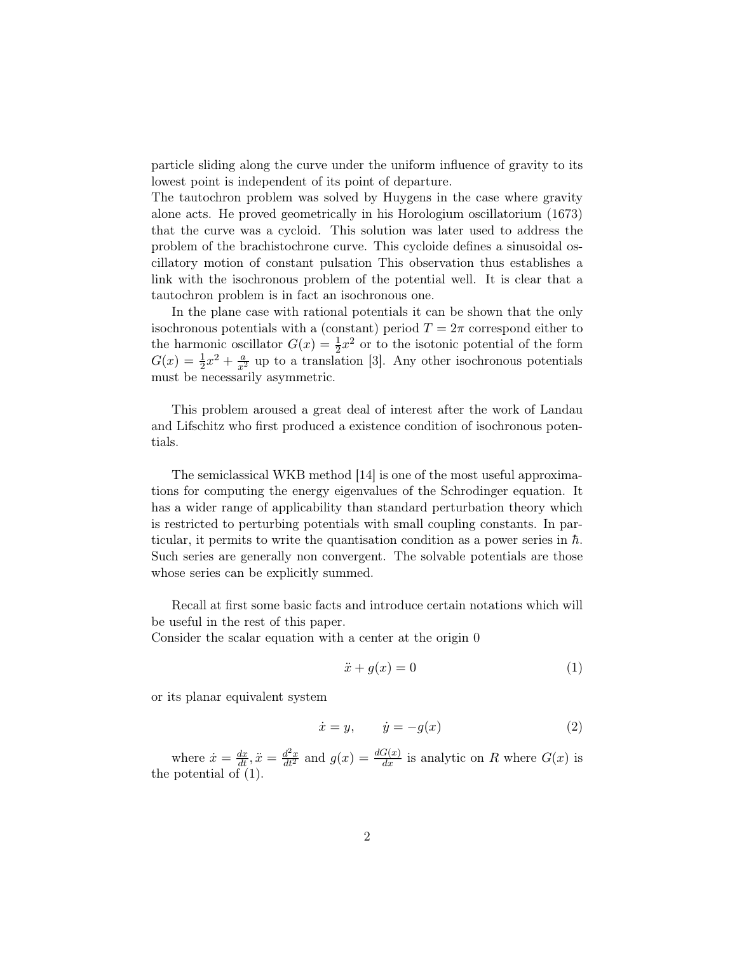particle sliding along the curve under the uniform influence of gravity to its lowest point is independent of its point of departure.

The tautochron problem was solved by Huygens in the case where gravity alone acts. He proved geometrically in his Horologium oscillatorium (1673) that the curve was a cycloid. This solution was later used to address the problem of the brachistochrone curve. This cycloide defines a sinusoidal oscillatory motion of constant pulsation This observation thus establishes a link with the isochronous problem of the potential well. It is clear that a tautochron problem is in fact an isochronous one.

In the plane case with rational potentials it can be shown that the only isochronous potentials with a (constant) period  $T = 2\pi$  correspond either to the harmonic oscillator  $G(x) = \frac{1}{2}x^2$  or to the isotonic potential of the form  $G(x) = \frac{1}{2}x^2 + \frac{a}{x^2}$  up to a translation [3]. Any other isochronous potentials must be necessarily asymmetric.

This problem aroused a great deal of interest after the work of Landau and Lifschitz who first produced a existence condition of isochronous potentials.

The semiclassical WKB method [14] is one of the most useful approximations for computing the energy eigenvalues of the Schrodinger equation. It has a wider range of applicability than standard perturbation theory which is restricted to perturbing potentials with small coupling constants. In particular, it permits to write the quantisation condition as a power series in  $\hbar$ . Such series are generally non convergent. The solvable potentials are those whose series can be explicitly summed.

Recall at first some basic facts and introduce certain notations which will be useful in the rest of this paper.

Consider the scalar equation with a center at the origin 0

$$
\ddot{x} + g(x) = 0 \tag{1}
$$

or its planar equivalent system

$$
\dot{x} = y, \qquad \dot{y} = -g(x) \tag{2}
$$

where  $\dot{x} = \frac{dx}{dt}$ ,  $\ddot{x} = \frac{d^2x}{dt^2}$  and  $g(x) = \frac{dG(x)}{dx}$  is analytic on R where  $G(x)$  is the potential of (1).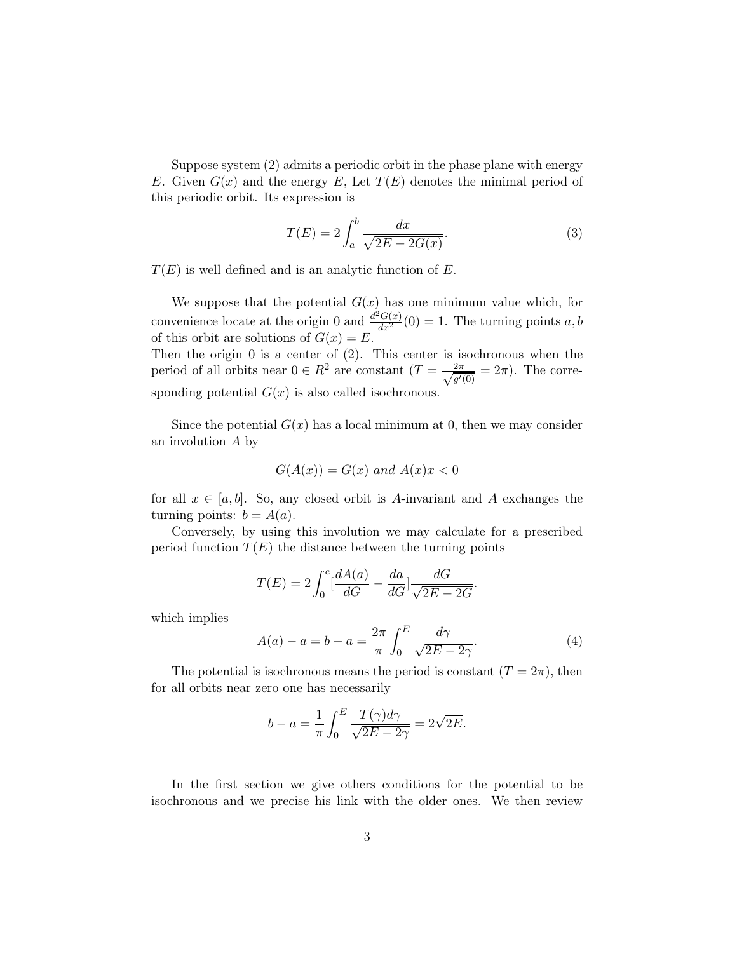Suppose system (2) admits a periodic orbit in the phase plane with energy E. Given  $G(x)$  and the energy E, Let  $T(E)$  denotes the minimal period of this periodic orbit. Its expression is

$$
T(E) = 2\int_{a}^{b} \frac{dx}{\sqrt{2E - 2G(x)}}.
$$
\n(3)

 $T(E)$  is well defined and is an analytic function of E.

We suppose that the potential  $G(x)$  has one minimum value which, for convenience locate at the origin 0 and  $\frac{d^2G(x)}{dx^2}(0) = 1$ . The turning points a, b of this orbit are solutions of  $G(x) = E$ .

Then the origin  $0$  is a center of  $(2)$ . This center is isochronous when the period of all orbits near  $0 \in R^2$  are constant  $(T = \frac{2\pi}{\sqrt{a'}}$  $\frac{2\pi}{g'(0)} = 2\pi$ . The corresponding potential  $G(x)$  is also called isochronous.

Since the potential  $G(x)$  has a local minimum at 0, then we may consider an involution A by

$$
G(A(x)) = G(x) \text{ and } A(x)x < 0
$$

for all  $x \in [a, b]$ . So, any closed orbit is A-invariant and A exchanges the turning points:  $b = A(a)$ .

Conversely, by using this involution we may calculate for a prescribed period function  $T(E)$  the distance between the turning points

$$
T(E) = 2\int_0^c \left[\frac{dA(a)}{dG} - \frac{da}{dG}\right] \frac{dG}{\sqrt{2E - 2G}}.
$$

which implies

$$
A(a) - a = b - a = \frac{2\pi}{\pi} \int_0^E \frac{d\gamma}{\sqrt{2E - 2\gamma}}.
$$
 (4)

The potential is isochronous means the period is constant  $(T = 2\pi)$ , then for all orbits near zero one has necessarily

$$
b - a = \frac{1}{\pi} \int_0^E \frac{T(\gamma)d\gamma}{\sqrt{2E - 2\gamma}} = 2\sqrt{2E}.
$$

In the first section we give others conditions for the potential to be isochronous and we precise his link with the older ones. We then review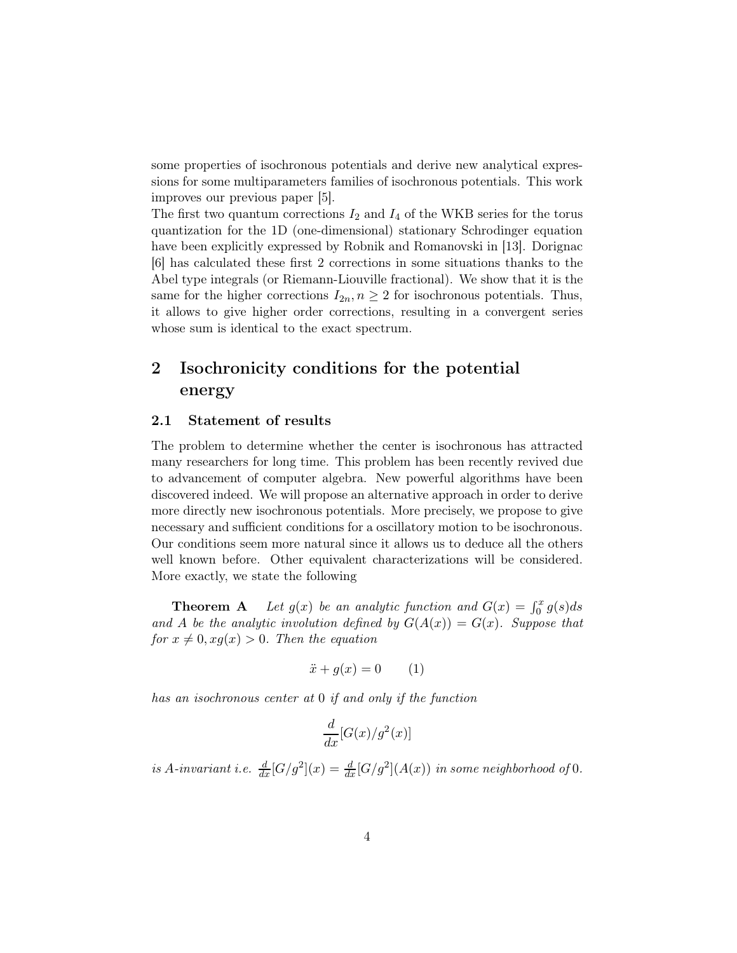some properties of isochronous potentials and derive new analytical expressions for some multiparameters families of isochronous potentials. This work improves our previous paper [5].

The first two quantum corrections  $I_2$  and  $I_4$  of the WKB series for the torus quantization for the 1D (one-dimensional) stationary Schrodinger equation have been explicitly expressed by Robnik and Romanovski in [13]. Dorignac [6] has calculated these first 2 corrections in some situations thanks to the Abel type integrals (or Riemann-Liouville fractional). We show that it is the same for the higher corrections  $I_{2n}, n \geq 2$  for isochronous potentials. Thus, it allows to give higher order corrections, resulting in a convergent series whose sum is identical to the exact spectrum.

## 2 Isochronicity conditions for the potential energy

### 2.1 Statement of results

The problem to determine whether the center is isochronous has attracted many researchers for long time. This problem has been recently revived due to advancement of computer algebra. New powerful algorithms have been discovered indeed. We will propose an alternative approach in order to derive more directly new isochronous potentials. More precisely, we propose to give necessary and sufficient conditions for a oscillatory motion to be isochronous. Our conditions seem more natural since it allows us to deduce all the others well known before. Other equivalent characterizations will be considered. More exactly, we state the following

**Theorem A** Let  $g(x)$  be an analytic function and  $G(x) = \int_0^x g(s)ds$ and A be the analytic involution defined by  $G(A(x)) = G(x)$ . Suppose that for  $x \neq 0, xg(x) > 0$ . Then the equation

$$
\ddot{x} + g(x) = 0 \qquad (1)
$$

has an isochronous center at 0 if and only if the function

$$
\frac{d}{dx}[G(x)/g^2(x)]
$$

is A-invariant i.e.  $\frac{d}{dx}[G/g^2](x) = \frac{d}{dx}[G/g^2](A(x))$  in some neighborhood of 0.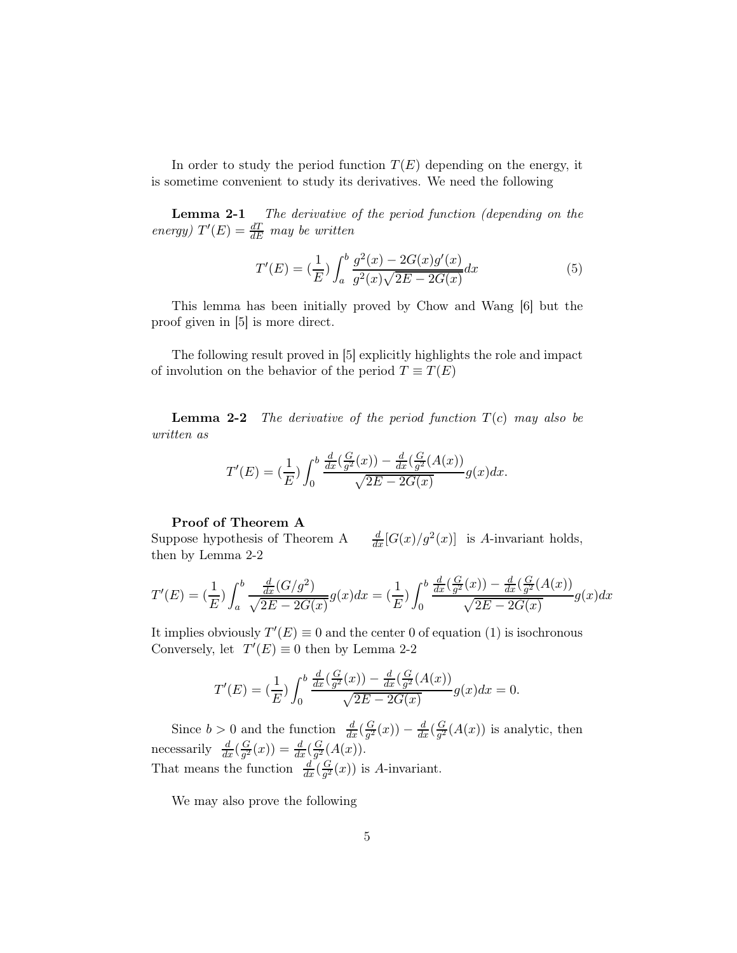In order to study the period function  $T(E)$  depending on the energy, it is sometime convenient to study its derivatives. We need the following

Lemma 2-1 The derivative of the period function (depending on the energy)  $T'(E) = \frac{dT}{dE}$  may be written

$$
T'(E) = \left(\frac{1}{E}\right) \int_{a}^{b} \frac{g^{2}(x) - 2G(x)g'(x)}{g^{2}(x)\sqrt{2E - 2G(x)}} dx
$$
\n(5)

This lemma has been initially proved by Chow and Wang [6] but the proof given in [5] is more direct.

The following result proved in [5] explicitly highlights the role and impact of involution on the behavior of the period  $T \equiv T(E)$ 

**Lemma 2-2** The derivative of the period function  $T(c)$  may also be written as

$$
T'(E) = \left(\frac{1}{E}\right) \int_0^b \frac{\frac{d}{dx} \left(\frac{G}{g^2}(x)\right) - \frac{d}{dx} \left(\frac{G}{g^2}(A(x))\right)}{\sqrt{2E - 2G(x)}} g(x) dx.
$$

### Proof of Theorem A

Suppose hypothesis of Theorem A  $\frac{d}{dx}[G(x)/g^2(x)]$  is A-invariant holds, then by Lemma 2-2

$$
T'(E) = \left(\frac{1}{E}\right) \int_a^b \frac{\frac{d}{dx}(G/g^2)}{\sqrt{2E - 2G(x)}} g(x) dx = \left(\frac{1}{E}\right) \int_0^b \frac{\frac{d}{dx}\left(\frac{G}{g^2}(x)\right) - \frac{d}{dx}\left(\frac{G}{g^2}(A(x))\right)}{\sqrt{2E - 2G(x)}} g(x) dx
$$

It implies obviously  $T'(E) \equiv 0$  and the center 0 of equation (1) is isochronous Conversely, let  $T'(E) \equiv 0$  then by Lemma 2-2

$$
T'(E) = \left(\frac{1}{E}\right) \int_0^b \frac{\frac{d}{dx} \left(\frac{G}{g^2}(x)\right) - \frac{d}{dx} \left(\frac{G}{g^2}(A(x))\right)}{\sqrt{2E - 2G(x)}} g(x) dx = 0.
$$

Since  $b > 0$  and the function  $\frac{d}{dx}(\frac{G}{g^2})$  $\frac{G}{g^2}(x)) - \frac{d}{dx}(\frac{G}{g^2})$  $\frac{G}{g^2}(A(x))$  is analytic, then necessarily  $\frac{d}{dx}(\frac{G}{g^2})$  $\frac{G}{g^2}(x)) = \frac{d}{dx}(\frac{G}{g^2})$  $\frac{G}{g^2}(A(x)).$ That means the function  $\frac{d}{dx}(\frac{G}{g^2})$  $\frac{G}{g^2}(x)$  is A-invariant.

We may also prove the following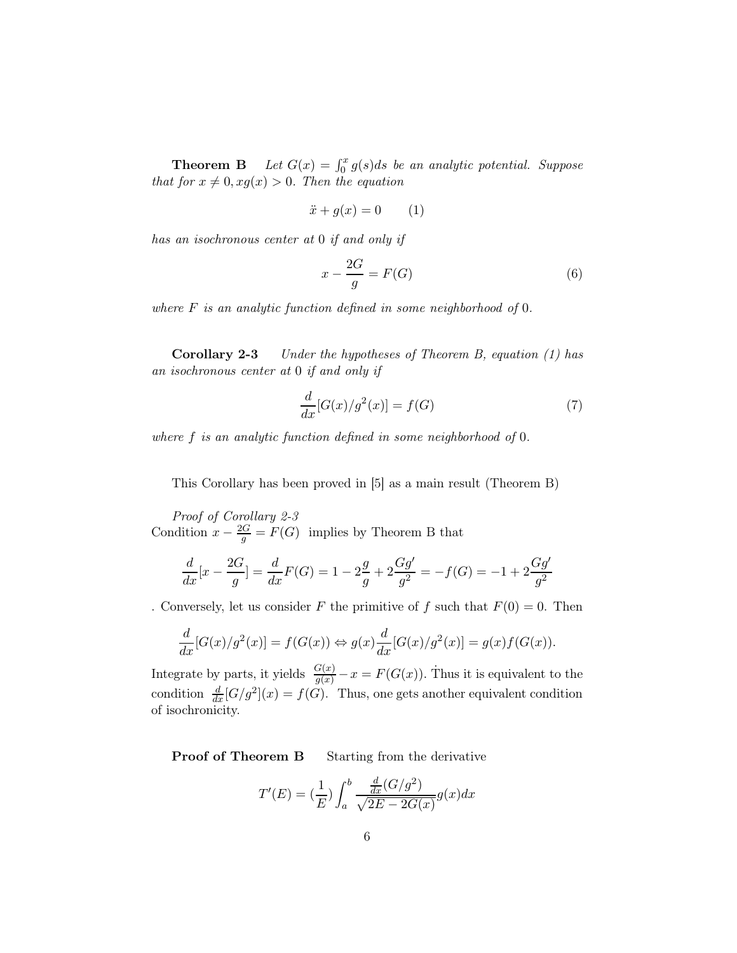**Theorem B** Let  $G(x) = \int_0^x g(s)ds$  be an analytic potential. Suppose that for  $x \neq 0, xg(x) > 0$ . Then the equation

$$
\ddot{x} + g(x) = 0 \qquad (1)
$$

has an isochronous center at 0 if and only if

$$
x - \frac{2G}{g} = F(G) \tag{6}
$$

where  $F$  is an analytic function defined in some neighborhood of  $0$ .

Corollary 2-3 Under the hypotheses of Theorem B, equation (1) has an isochronous center at 0 if and only if

$$
\frac{d}{dx}[G(x)/g^2(x)] = f(G) \tag{7}
$$

where f is an analytic function defined in some neighborhood of 0.

This Corollary has been proved in [5] as a main result (Theorem B)

Proof of Corollary 2-3 Condition  $x - \frac{2G}{g} = F(G)$  implies by Theorem B that

$$
\frac{d}{dx}[x - \frac{2G}{g}] = \frac{d}{dx}F(G) = 1 - 2\frac{g}{g} + 2\frac{Gg'}{g^2} = -f(G) = -1 + 2\frac{Gg'}{g^2}
$$

. Conversely, let us consider F the primitive of f such that  $F(0) = 0$ . Then

$$
\frac{d}{dx}[G(x)/g^2(x)] = f(G(x)) \Leftrightarrow g(x)\frac{d}{dx}[G(x)/g^2(x)] = g(x)f(G(x)).
$$

Integrate by parts, it yields  $\frac{G(x)}{g(x)} - x = F(G(x))$ . Thus it is equivalent to the condition  $\frac{d}{dx} [G/g^2](x) = f(G)$ . Thus, one gets another equivalent condition of isochronicity.

**Proof of Theorem B** Starting from the derivative

$$
T'(E) = \left(\frac{1}{E}\right) \int_a^b \frac{\frac{d}{dx}(G/g^2)}{\sqrt{2E - 2G(x)}} g(x) dx
$$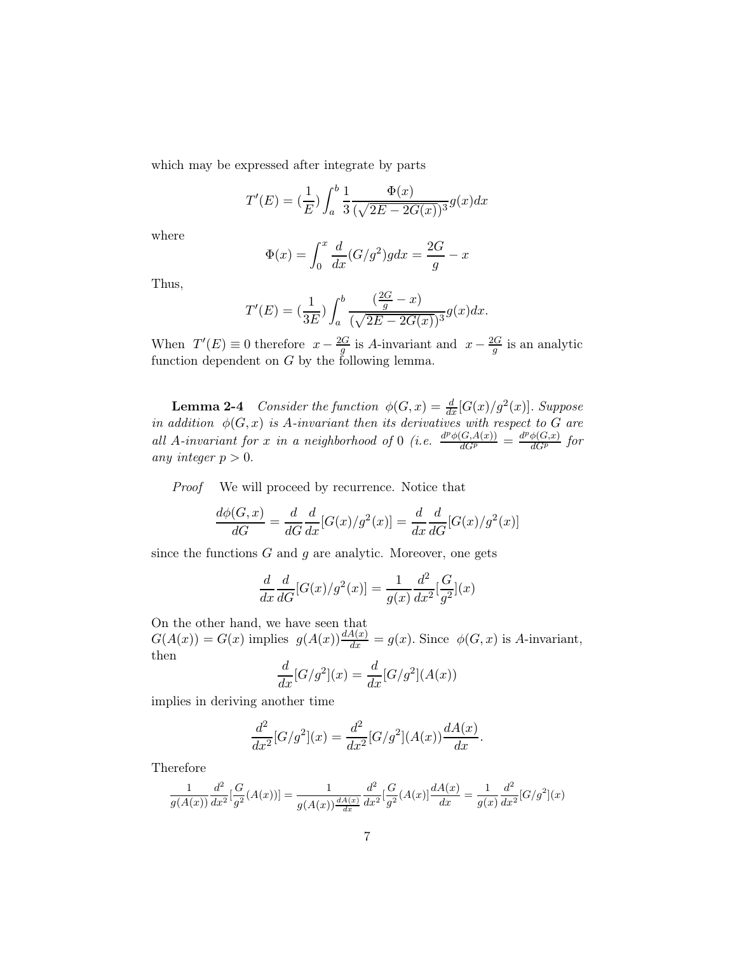which may be expressed after integrate by parts

$$
T'(E) = \left(\frac{1}{E}\right) \int_a^b \frac{1}{3} \frac{\Phi(x)}{(\sqrt{2E - 2G(x)})^3} g(x) dx
$$

where

$$
\Phi(x) = \int_0^x \frac{d}{dx} (G/g^2) g dx = \frac{2G}{g} - x
$$

Thus,

$$
T'(E) = \left(\frac{1}{3E}\right) \int_a^b \frac{\left(\frac{2G}{g} - x\right)}{(\sqrt{2E - 2G(x)})^3} g(x) dx.
$$

When  $T'(E) \equiv 0$  therefore  $x - \frac{2G}{g}$  $rac{G}{g}$  is A-invariant and  $x - \frac{2G}{g}$  $rac{aG}{g}$  is an analytic function dependent on  $G$  by the following lemma.

**Lemma 2-4** Consider the function  $\phi(G, x) = \frac{d}{dx} [G(x)/g^2(x)]$ . Suppose in addition  $\phi(G, x)$  is A-invariant then its derivatives with respect to G are all A-invariant for x in a neighborhood of 0 (i.e.  $\frac{d^p\phi(G,A(x))}{dG^p} = \frac{d^p\phi(G,x)}{dG^p}$  for any integer  $p > 0$ .

Proof We will proceed by recurrence. Notice that

$$
\frac{d\phi(G,x)}{dG} = \frac{d}{dG}\frac{d}{dx}[G(x)/g^2(x)] = \frac{d}{dx}\frac{d}{dG}[G(x)/g^2(x)]
$$

since the functions  $G$  and  $g$  are analytic. Moreover, one gets

$$
\frac{d}{dx}\frac{d}{dG}[G(x)/g^{2}(x)] = \frac{1}{g(x)}\frac{d^{2}}{dx^{2}}[\frac{G}{g^{2}}](x)
$$

On the other hand, we have seen that  $G(A(x)) = G(x)$  implies  $g(A(x)) \frac{dA(x)}{dx} = g(x)$ . Since  $\phi(G, x)$  is A-invariant, then

$$
\frac{d}{dx}[G/g^2](x) = \frac{d}{dx}[G/g^2](A(x))
$$

implies in deriving another time

$$
\frac{d^2}{dx^2}[G/g^2](x) = \frac{d^2}{dx^2}[G/g^2](A(x))\frac{dA(x)}{dx}.
$$

Therefore

$$
\frac{1}{g(A(x))}\frac{d^2}{dx^2}[\frac{G}{g^2}(A(x))]=\frac{1}{g(A(x))\frac{dA(x)}{dx}}\frac{d^2}{dx^2}[\frac{G}{g^2}(A(x)]\frac{dA(x)}{dx}=\frac{1}{g(x)}\frac{d^2}{dx^2}[G/g^2](x)
$$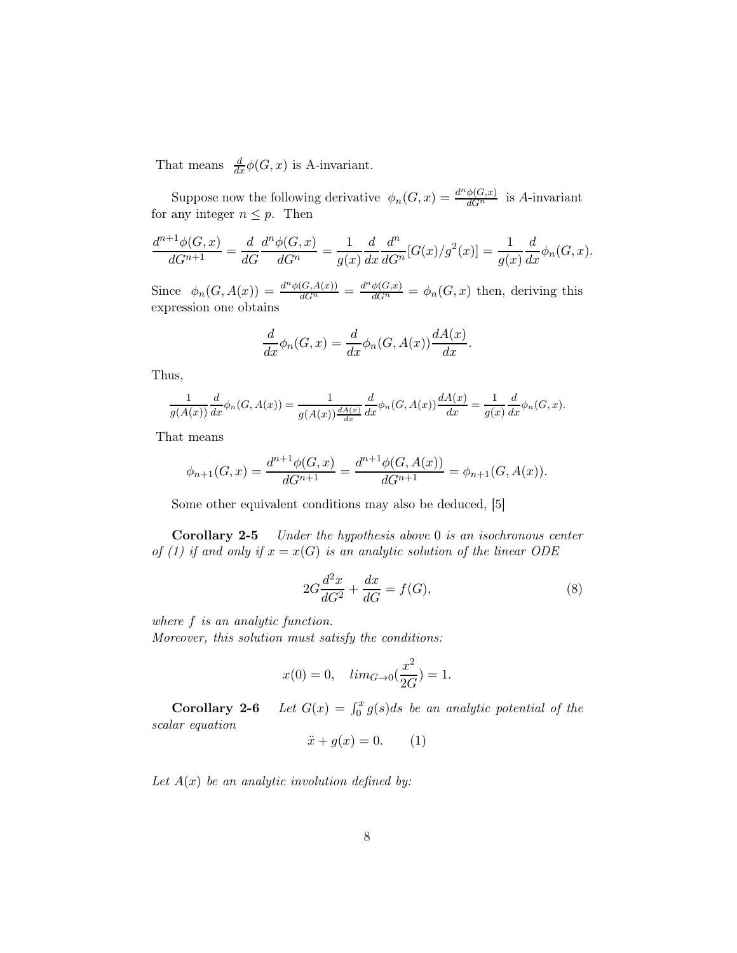That means  $\frac{d}{dx}\phi(G, x)$  is A-invariant.

Suppose now the following derivative  $\phi_n(G, x) = \frac{d^n \phi(G, x)}{dG^n}$  is A-invariant for any integer  $n \leq p$ . Then

$$
\frac{d^{n+1}\phi(G,x)}{dG^{n+1}} = \frac{d}{dG}\frac{d^n\phi(G,x)}{dG^n} = \frac{1}{g(x)}\frac{d}{dx}\frac{d^n}{dG^n}[G(x)/g^2(x)] = \frac{1}{g(x)}\frac{d}{dx}\phi_n(G,x).
$$

Since  $\phi_n(G, A(x)) = \frac{d^n \phi(G, A(x))}{dG^n} = \frac{d^n \phi(G, x)}{dG^n} = \phi_n(G, x)$  then, deriving this expression one obtains

$$
\frac{d}{dx}\phi_n(G,x) = \frac{d}{dx}\phi_n(G,A(x))\frac{dA(x)}{dx}.
$$

Thus,

$$
\frac{1}{g(A(x))}\frac{d}{dx}\phi_n(G, A(x)) = \frac{1}{g(A(x))\frac{dA(x)}{dx}}\frac{d}{dx}\phi_n(G, A(x))\frac{dA(x)}{dx} = \frac{1}{g(x)}\frac{d}{dx}\phi_n(G, x).
$$

That means

$$
\phi_{n+1}(G,x) = \frac{d^{n+1}\phi(G,x)}{dG^{n+1}} = \frac{d^{n+1}\phi(G,A(x))}{dG^{n+1}} = \phi_{n+1}(G,A(x)).
$$

Some other equivalent conditions may also be deduced, [5]

Corollary 2-5 Under the hypothesis above 0 is an isochronous center of (1) if and only if  $x = x(G)$  is an analytic solution of the linear ODE

$$
2G\frac{d^2x}{dG^2} + \frac{dx}{dG} = f(G),\tag{8}
$$

where  $f$  is an analytic function.

Moreover, this solution must satisfy the conditions:

$$
x(0)=0, \quad lim_{G\rightarrow 0}(\frac{x^2}{2G})=1.
$$

**Corollary 2-6** Let  $G(x) = \int_0^x g(s)ds$  be an analytic potential of the scalar equation

$$
\ddot{x} + g(x) = 0. \qquad (1)
$$

Let  $A(x)$  be an analytic involution defined by: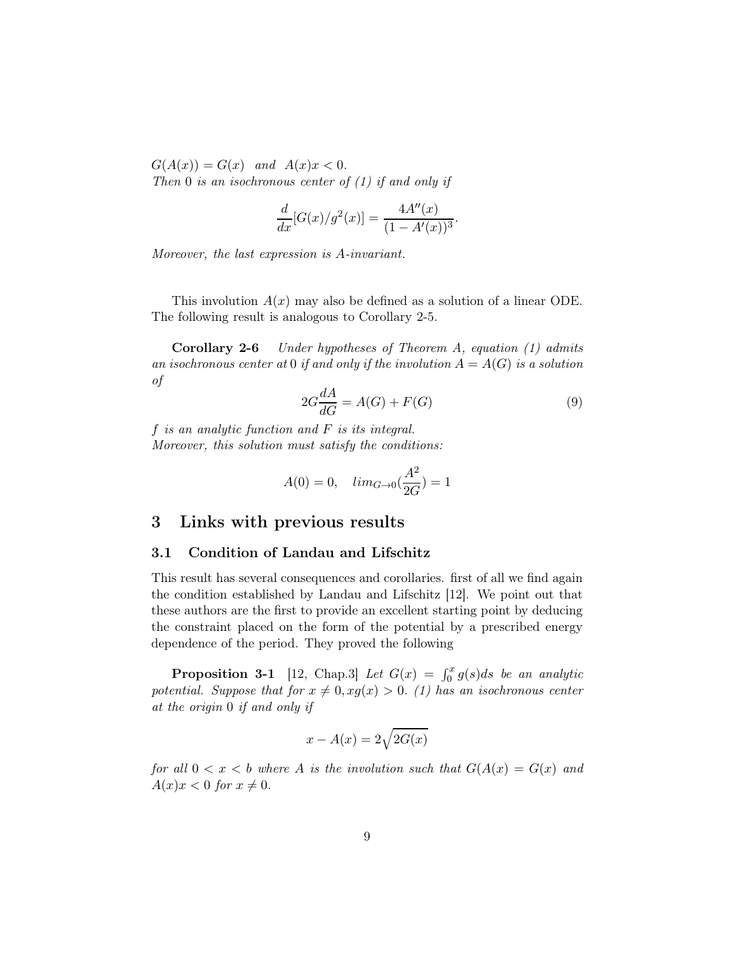$G(A(x)) = G(x)$  and  $A(x)x < 0$ .

Then 0 is an isochronous center of  $(1)$  if and only if

$$
\frac{d}{dx}[G(x)/g^{2}(x)] = \frac{4A''(x)}{(1-A'(x))^{3}}.
$$

Moreover, the last expression is A-invariant.

This involution  $A(x)$  may also be defined as a solution of a linear ODE. The following result is analogous to Corollary 2-5.

Corollary 2-6 Under hypotheses of Theorem A, equation (1) admits an isochronous center at 0 if and only if the involution  $A = A(G)$  is a solution of

$$
2G\frac{dA}{dG} = A(G) + F(G)
$$
\n(9)

 $f$  is an analytic function and  $F$  is its integral. Moreover, this solution must satisfy the conditions:

$$
A(0) = 0
$$
,  $lim_{G \to 0}(\frac{A^2}{2G}) = 1$ 

## 3 Links with previous results

#### 3.1 Condition of Landau and Lifschitz

This result has several consequences and corollaries. first of all we find again the condition established by Landau and Lifschitz [12]. We point out that these authors are the first to provide an excellent starting point by deducing the constraint placed on the form of the potential by a prescribed energy dependence of the period. They proved the following

**Proposition 3-1** [12, Chap.3] Let  $G(x) = \int_0^x g(s)ds$  be an analytic potential. Suppose that for  $x \neq 0, xg(x) > 0$ . (1) has an isochronous center at the origin 0 if and only if

$$
x - A(x) = 2\sqrt{2G(x)}
$$

for all  $0 < x < b$  where A is the involution such that  $G(A(x) = G(x))$  and  $A(x)x < 0$  for  $x \neq 0$ .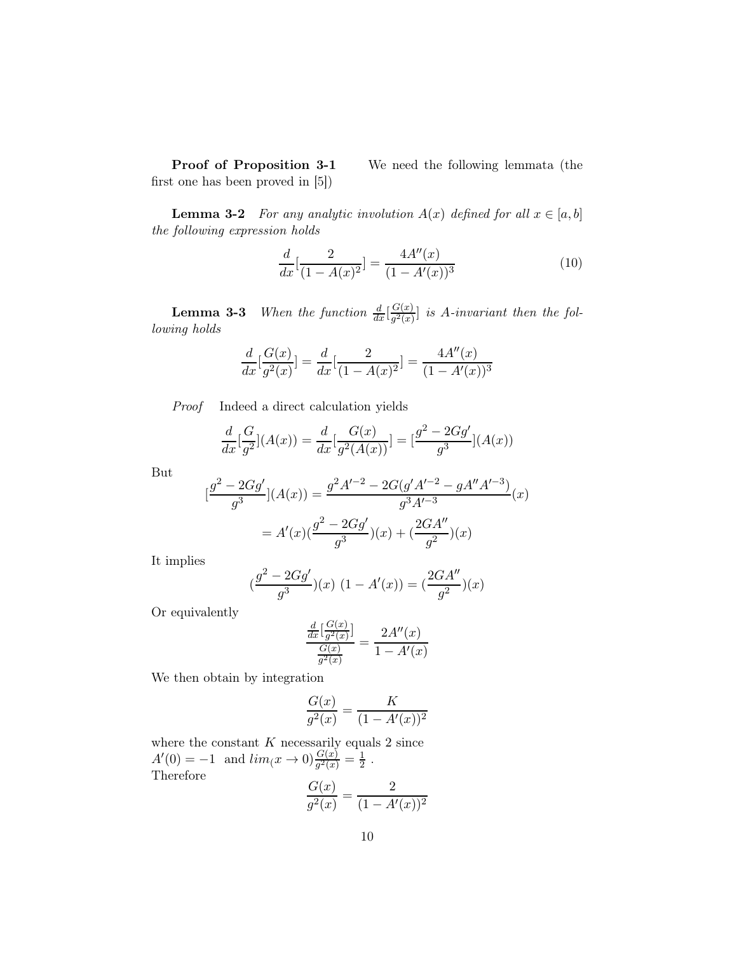Proof of Proposition 3-1 We need the following lemmata (the first one has been proved in [5])

**Lemma 3-2** For any analytic involution  $A(x)$  defined for all  $x \in [a, b]$ the following expression holds

$$
\frac{d}{dx}\left[\frac{2}{(1-A(x)^2)}\right] = \frac{4A''(x)}{(1-A'(x))^3} \tag{10}
$$

**Lemma 3-3** When the function  $\frac{d}{dx} \left[ \frac{G(x)}{g^2(x)} \right]$  $\frac{G(x)}{g^2(x)}$  is A-invariant then the following holds

$$
\frac{d}{dx}\left[\frac{G(x)}{g^2(x)}\right] = \frac{d}{dx}\left[\frac{2}{(1-A(x)^2)}\right] = \frac{4A''(x)}{(1-A'(x))^3}
$$

Proof Indeed a direct calculation yields

$$
\frac{d}{dx}\left[\frac{G}{g^2}\right](A(x)) = \frac{d}{dx}\left[\frac{G(x)}{g^2(A(x))}\right] = \left[\frac{g^2 - 2Gg'}{g^3}\right](A(x))
$$

But

$$
[\frac{g^2 - 2Gg'}{g^3}](A(x)) = \frac{g^2A'^{-2} - 2G(g'A'^{-2} - gA''A'^{-3})}{g^3A'^{-3}}(x)
$$

$$
= A'(x)(\frac{g^2 - 2Gg'}{g^3})(x) + (\frac{2GA''}{g^2})(x)
$$

It implies

$$
(\frac{g^2 - 2Gg'}{g^3})(x) (1 - A'(x)) = (\frac{2GA''}{g^2})(x)
$$

Or equivalently

$$
\frac{\frac{d}{dx} \left[\frac{G(x)}{g^2(x)}\right]}{\frac{G(x)}{g^2(x)}} = \frac{2A''(x)}{1 - A'(x)}
$$

We then obtain by integration

$$
\frac{G(x)}{g^2(x)} = \frac{K}{(1 - A'(x))^2}
$$

where the constant  $K$  necessarily equals 2 since  $A'(0) = -1$  and  $\lim_{(x \to 0)} \frac{G(x)}{g^2(x)} = \frac{1}{2}$  $\frac{1}{2}$ . Therefore  $\frac{G(x)}{g(x)}$ 2

$$
\frac{G(x)}{g^2(x)} = \frac{2}{(1 - A'(x))^2}
$$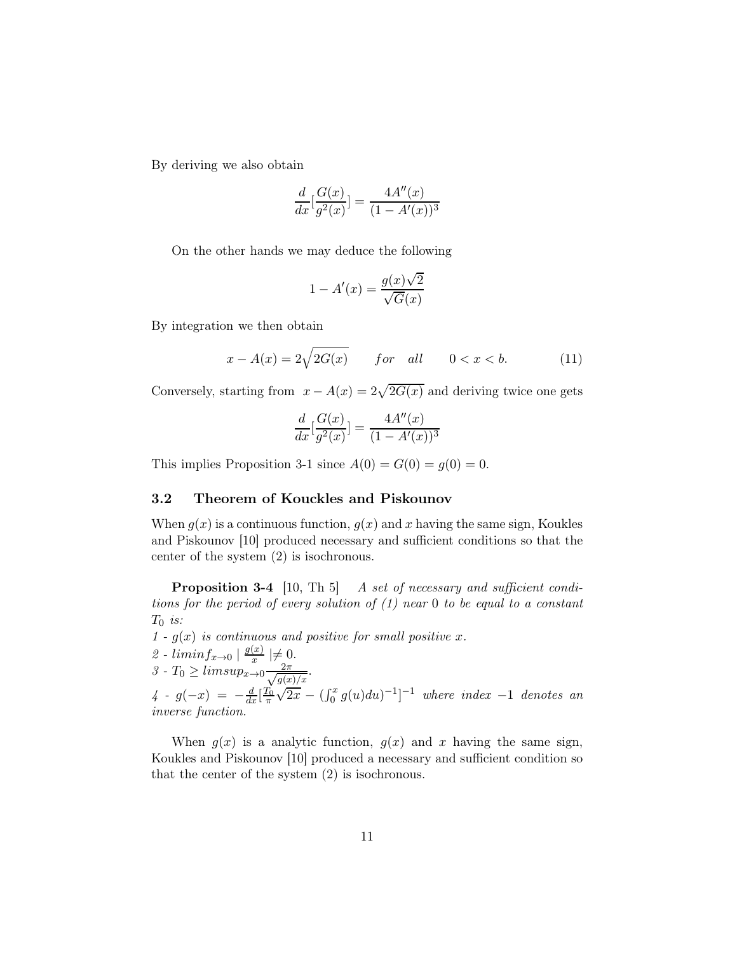By deriving we also obtain

$$
\frac{d}{dx}\left[\frac{G(x)}{g^2(x)}\right] = \frac{4A''(x)}{(1 - A'(x))^3}
$$

On the other hands we may deduce the following

$$
1 - A'(x) = \frac{g(x)\sqrt{2}}{\sqrt{G(x)}}
$$

By integration we then obtain

$$
x - A(x) = 2\sqrt{2G(x)} \qquad \text{for} \quad \text{all} \qquad 0 < x < b. \tag{11}
$$

Conversely, starting from  $x - A(x) = 2\sqrt{2G(x)}$  and deriving twice one gets

$$
\frac{d}{dx}\left[\frac{G(x)}{g^2(x)}\right] = \frac{4A''(x)}{(1 - A'(x))^3}
$$

This implies Proposition 3-1 since  $A(0) = G(0) = q(0) = 0$ .

## 3.2 Theorem of Kouckles and Piskounov

When  $g(x)$  is a continuous function,  $g(x)$  and x having the same sign, Koukles and Piskounov [10] produced necessary and sufficient conditions so that the center of the system (2) is isochronous.

**Proposition 3-4** [10, Th 5] A set of necessary and sufficient conditions for the period of every solution of (1) near 0 to be equal to a constant  $T_0$  is:

 $1 - g(x)$  is continuous and positive for small positive x.

2 - 
$$
liminf_{x\to 0}
$$
  $\mid \frac{g(x)}{x} \mid \neq 0$ .

$$
3 \text{ - } T_0 \geq limsup_{x \to 0} \frac{2\pi}{\sqrt{g(x)/x}}.
$$

4 -  $g(-x) = -\frac{d}{dx} \left[\frac{T_0}{\pi}\right]$  $\sqrt{2x} - (\int_0^x g(u) du)^{-1}]^{-1}$  where index -1 denotes an inverse function.

When  $g(x)$  is a analytic function,  $g(x)$  and x having the same sign, Koukles and Piskounov [10] produced a necessary and sufficient condition so that the center of the system (2) is isochronous.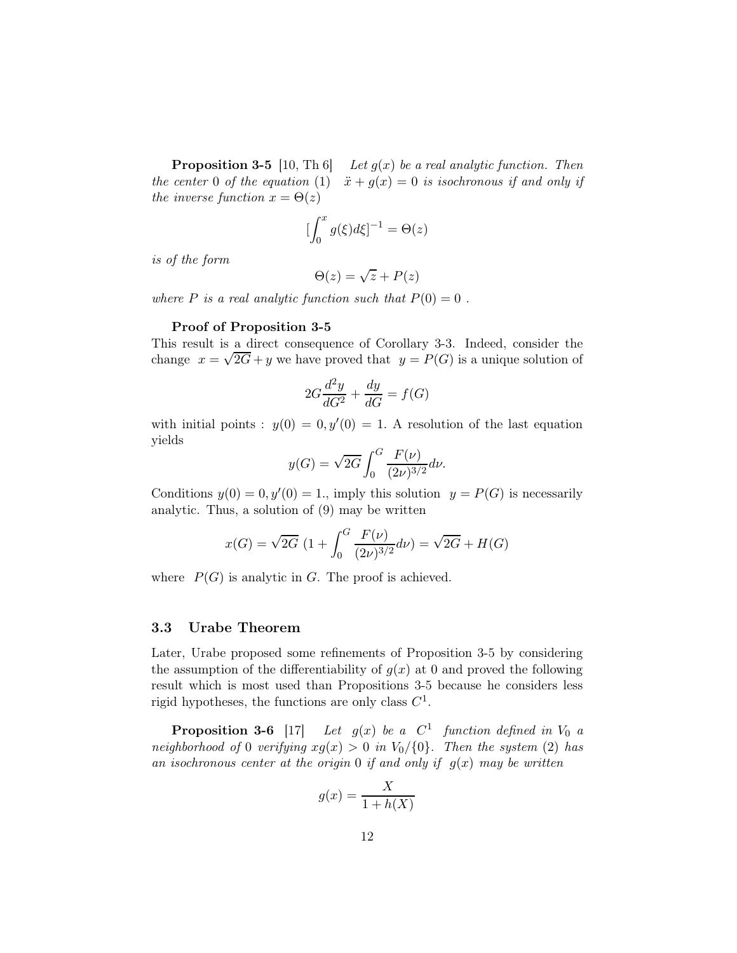**Proposition 3-5** [10, Th 6] Let  $g(x)$  be a real analytic function. Then the center 0 of the equation (1)  $\ddot{x} + g(x) = 0$  is isochronous if and only if the inverse function  $x = \Theta(z)$ 

$$
\left[\int_0^x g(\xi)d\xi\right]^{-1} = \Theta(z)
$$

is of the form

$$
\Theta(z) = \sqrt{z} + P(z)
$$

where P is a real analytic function such that  $P(0) = 0$ .

#### Proof of Proposition 3-5

This result is a direct consequence of Corollary 3-3. Indeed, consider the change  $x = \sqrt{2G} + y$  we have proved that  $y = P(G)$  is a unique solution of

$$
2G\frac{d^2y}{dG^2} + \frac{dy}{dG} = f(G)
$$

with initial points :  $y(0) = 0, y'(0) = 1$ . A resolution of the last equation yields

$$
y(G) = \sqrt{2G} \int_0^G \frac{F(\nu)}{(2\nu)^{3/2}} d\nu.
$$

Conditions  $y(0) = 0, y'(0) = 1$ , imply this solution  $y = P(G)$  is necessarily analytic. Thus, a solution of (9) may be written

$$
x(G) = \sqrt{2G} \left( 1 + \int_0^G \frac{F(\nu)}{(2\nu)^{3/2}} d\nu \right) = \sqrt{2G} + H(G)
$$

where  $P(G)$  is analytic in G. The proof is achieved.

#### 3.3 Urabe Theorem

Later, Urabe proposed some refinements of Proposition 3-5 by considering the assumption of the differentiability of  $g(x)$  at 0 and proved the following result which is most used than Propositions 3-5 because he considers less rigid hypotheses, the functions are only class  $C^1$ .

Proposition 3-6  $[17]$ <sup>1</sup> function defined in  $V_0$  a neighborhood of 0 verifying  $xg(x) > 0$  in  $V_0/\{0\}$ . Then the system (2) has an isochronous center at the origin 0 if and only if  $g(x)$  may be written

$$
g(x) = \frac{X}{1 + h(X)}
$$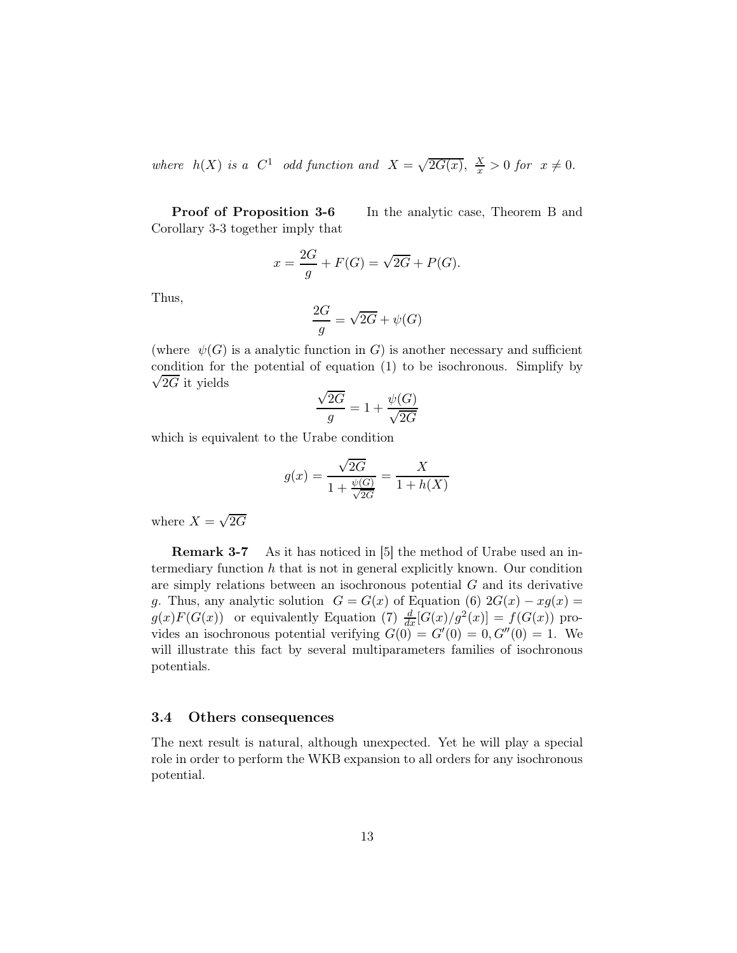where  $h(X)$  is a  $C^1$  odd function and  $X = \sqrt{2G(x)}$ ,  $\frac{X}{x} > 0$  for  $x \neq 0$ .

Proof of Proposition 3-6 In the analytic case, Theorem B and Corollary 3-3 together imply that

$$
x = \frac{2G}{g} + F(G) = \sqrt{2G} + P(G).
$$

Thus,

$$
\frac{2G}{g} = \sqrt{2G} + \psi(G)
$$

(where  $\psi(G)$  is a analytic function in G) is another necessary and sufficient condition for the potential of equation (1) to be isochronou s. Simplify by  $\sqrt{2G}$  it yields

$$
\frac{\sqrt{2G}}{g} = 1 + \frac{\psi(G)}{\sqrt{2G}}
$$

which is equivalent to the Urabe condition

$$
g(x) = \frac{\sqrt{2G}}{1 + \frac{\psi(G)}{\sqrt{2G}}} = \frac{X}{1 + h(X)}
$$

where  $X = \sqrt{2G}$ 

**Remark 3-7** As it has noticed in [5] the method of Urabe used an intermediary function  $h$  that is not in general explicitly known. Our condition are simply relations between an isochronous potential  $G$  and its derivative g. Thus, any analytic solution  $G = G(x)$  of Equation (6)  $2G(x) - xg(x) =$  $g(x)F(G(x))$  or equivalently Equation (7)  $\frac{d}{dx}[G(x)/g^2(x)] = f(G(x))$  provides an isochronous potential verifying  $G(0) = G'(0) = 0, G''(0) = 1$ . We will illustrate this fact by several multiparameters families of isochronous potentials.

#### 3.4 Others consequences

The next result is natural, although unexpected. Yet he will play a special role in order to perform the WKB expansion to all orders for any isochronous potential.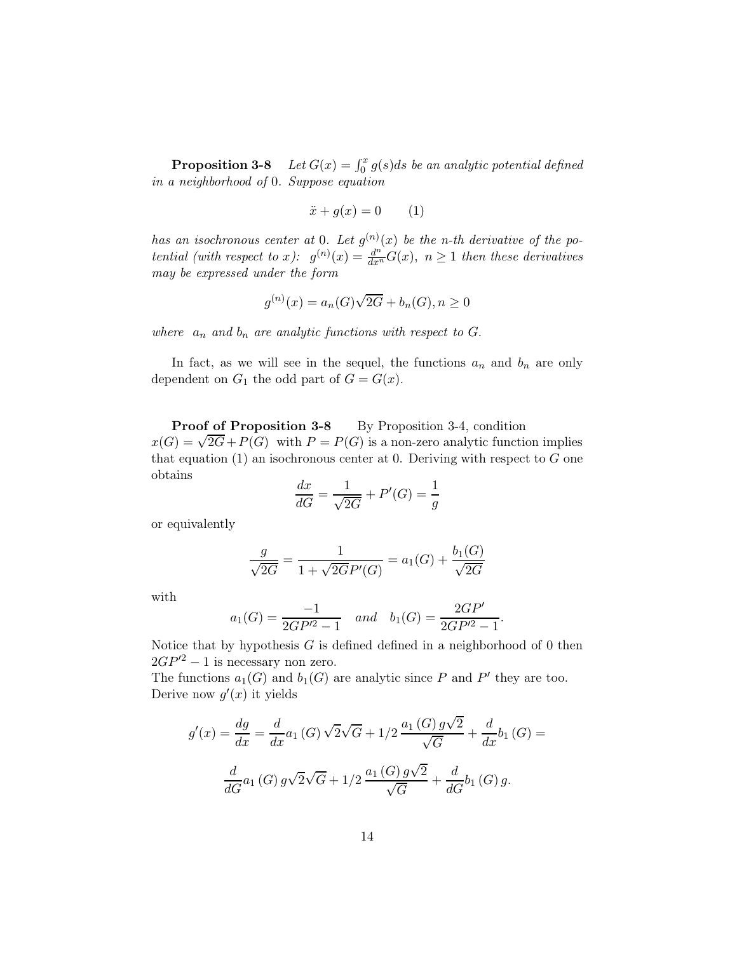**Proposition 3-8** Let  $G(x) = \int_0^x g(s)ds$  be an analytic potential defined in a neighborhood of 0. Suppose equation

$$
\ddot{x} + g(x) = 0 \qquad (1)
$$

has an isochronous center at 0. Let  $g^{(n)}(x)$  be the n-th derivative of the potential (with respect to x):  $g^{(n)}(x) = \frac{d^{n}}{dx^{n}} G(x)$ ,  $n \ge 1$  then these derivatives may be expressed under the form

$$
g^{(n)}(x) = a_n(G)\sqrt{2G} + b_n(G), n \ge 0
$$

where  $a_n$  and  $b_n$  are analytic functions with respect to G.

In fact, as we will see in the sequel, the functions  $a_n$  and  $b_n$  are only dependent on  $G_1$  the odd part of  $G = G(x)$ .

Proof of Proposition 3-8 By Proposition 3-4, condition  $x(G) = \sqrt{2G} + P(G)$  with  $P = P(G)$  is a non-zero analytic function implies that equation  $(1)$  an isochronous center at 0. Deriving with respect to G one obtains

$$
\frac{dx}{dG} = \frac{1}{\sqrt{2G}} + P'(G) = \frac{1}{g}
$$

or equivalently

$$
\frac{g}{\sqrt{2G}} = \frac{1}{1 + \sqrt{2GP'(G)}} = a_1(G) + \frac{b_1(G)}{\sqrt{2G}}
$$

with

$$
a_1(G) = \frac{-1}{2GP'^2 - 1}
$$
 and  $b_1(G) = \frac{2GP'}{2GP'^2 - 1}$ .

Notice that by hypothesis  $G$  is defined defined in a neighborhood of 0 then  $2GP'^2 - 1$  is necessary non zero.

The functions  $a_1(G)$  and  $b_1(G)$  are analytic since P and P' they are too. Derive now  $g'(x)$  it yields

$$
g'(x) = \frac{dg}{dx} = \frac{d}{dx}a_1(G)\sqrt{2}\sqrt{G} + 1/2\frac{a_1(G)g\sqrt{2}}{\sqrt{G}} + \frac{d}{dx}b_1(G) =
$$

$$
\frac{d}{dG}a_1(G)g\sqrt{2}\sqrt{G} + 1/2\frac{a_1(G)g\sqrt{2}}{\sqrt{G}} + \frac{d}{dG}b_1(G)g.
$$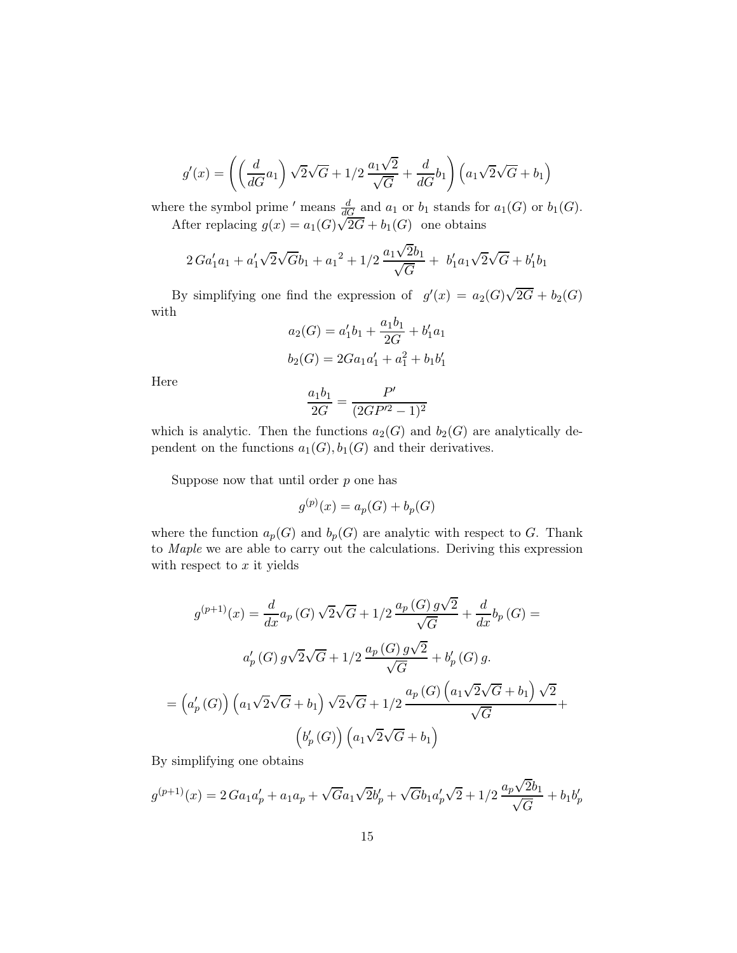$$
g'(x) = \left( \left( \frac{d}{dG} a_1 \right) \sqrt{2} \sqrt{G} + 1/2 \frac{a_1 \sqrt{2}}{\sqrt{G}} + \frac{d}{dG} b_1 \right) \left( a_1 \sqrt{2} \sqrt{G} + b_1 \right)
$$

where the symbol prime ' means  $\frac{d}{dG}$  and  $a_1$  or  $b_1$  stands for  $a_1(G)$  or  $b_1(G)$ . After replacing  $g(x) = a_1(G)\sqrt{2G} + b_1(G)$  one obtains

$$
2\,Ga'_1a_1 + a'_1\sqrt{2}\sqrt{G}b_1 + a_1^2 + 1/2\,\frac{a_1\sqrt{2}b_1}{\sqrt{G}} + b'_1a_1\sqrt{2}\sqrt{G} + b'_1b_1
$$

By simplifying one find the expression of  $g'(x) = a_2(G)\sqrt{2G} + b_2(G)$ with

$$
a_2(G) = a'_1b_1 + \frac{a_1b_1}{2G} + b'_1a_1
$$
  

$$
b_2(G) = 2Ga_1a'_1 + a_1^2 + b_1b'_1
$$

Here

$$
\frac{a_1b_1}{2G} = \frac{P'}{(2GP'^2 - 1)^2}
$$

which is analytic. Then the functions  $a_2(G)$  and  $b_2(G)$  are analytically dependent on the functions  $a_1(G), b_1(G)$  and their derivatives.

Suppose now that until order  $p$  one has

$$
g^{(p)}(x) = a_p(G) + b_p(G)
$$

where the function  $a_p(G)$  and  $b_p(G)$  are analytic with respect to G. Thank to Maple we are able to carry out the calculations. Deriving this expression with respect to  $x$  it yields

$$
g^{(p+1)}(x) = \frac{d}{dx} a_p(G) \sqrt{2\sqrt{G}} + 1/2 \frac{a_p(G) g\sqrt{2}}{\sqrt{G}} + \frac{d}{dx} b_p(G) =
$$
  

$$
a'_p(G) g\sqrt{2\sqrt{G}} + 1/2 \frac{a_p(G) g\sqrt{2}}{\sqrt{G}} + b'_p(G) g.
$$
  

$$
= \left(a'_p(G)\right) \left(a_1 \sqrt{2\sqrt{G}} + b_1\right) \sqrt{2\sqrt{G}} + 1/2 \frac{a_p(G) \left(a_1 \sqrt{2\sqrt{G}} + b_1\right) \sqrt{2}}{\sqrt{G}} +
$$
  

$$
\left(b'_p(G)\right) \left(a_1 \sqrt{2\sqrt{G}} + b_1\right)
$$

By simplifying one obtains

$$
g^{(p+1)}(x) = 2\,Ga_1a'_p + a_1a_p + \sqrt{G}a_1\sqrt{2}b'_p + \sqrt{G}b_1a'_p\sqrt{2} + 1/2\,\frac{a_p\sqrt{2}b_1}{\sqrt{G}} + b_1b'_p
$$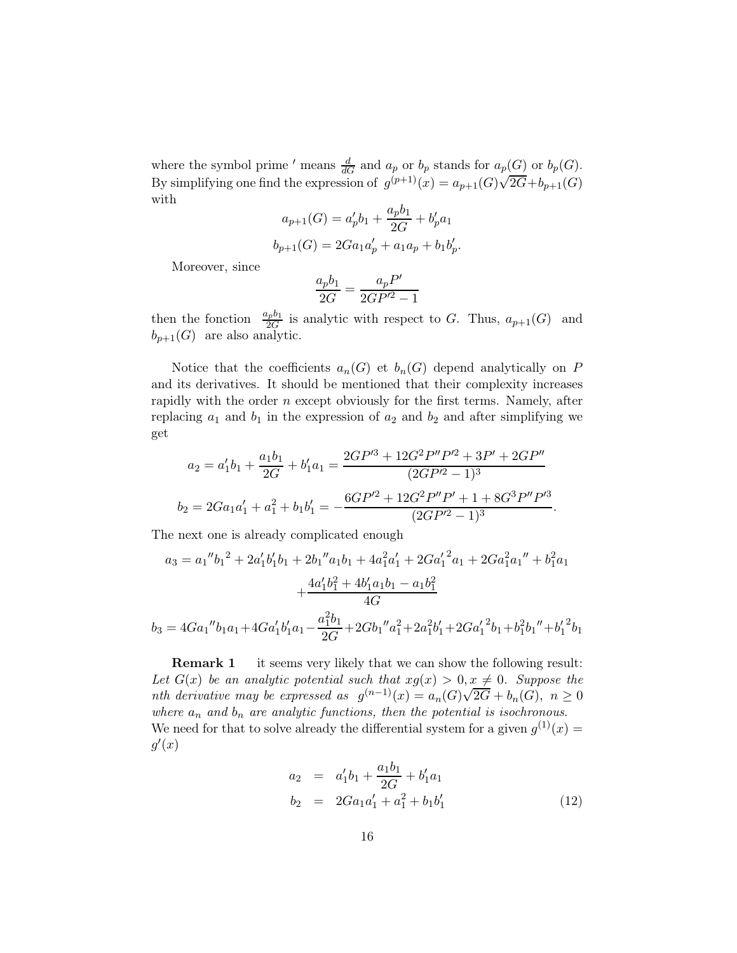where the symbol prime ' means  $\frac{d}{dG}$  and  $a_p$  or  $b_p$  stands for  $a_p(G)$  or  $b_p(G)$ . By simplifying one find the expression of  $g^{(p+1)}(x) = a_{p+1}(G)\sqrt{2G} + b_{p+1}(G)$ with

$$
a_{p+1}(G) = a'_p b_1 + \frac{a_p b_1}{2G} + b'_p a_1
$$
  

$$
b_{p+1}(G) = 2Ga_1 a'_p + a_1 a_p + b_1 b'_p.
$$

Moreover, since

$$
\frac{a_p b_1}{2G} = \frac{a_p P'}{2GP'^2 - 1}
$$

then the fonction  $\frac{a_p b_1}{2G}$  is analytic with respect to G. Thus,  $a_{p+1}(G)$  and  $b_{p+1}(G)$  are also analytic.

Notice that the coefficients  $a_n(G)$  et  $b_n(G)$  depend analytically on P and its derivatives. It should be mentioned that their complexity increases rapidly with the order  $n$  except obviously for the first terms. Namely, after replacing  $a_1$  and  $b_1$  in the expression of  $a_2$  and  $b_2$  and after simplifying we get

$$
a_2 = a'_1b_1 + \frac{a_1b_1}{2G} + b'_1a_1 = \frac{2GP'^3 + 12G^2P''P'^2 + 3P' + 2GP''}{(2GP'^2 - 1)^3}
$$

$$
b_2 = 2Ga_1a'_1 + a_1^2 + b_1b'_1 = -\frac{6GP'^2 + 12G^2P''P' + 1 + 8G^3P''P'^3}{(2GP'^2 - 1)^3}.
$$

The next one is already complicated enough

$$
a_3 = a_1''b_1^2 + 2a_1'b_1'b_1 + 2b_1''a_1b_1 + 4a_1^2a_1' + 2Ga_1'^2a_1 + 2Ga_1^2a_1'' + b_1^2a_1
$$

$$
+ \frac{4a_1'b_1^2 + 4b_1'a_1b_1 - a_1b_1^2}{4G}
$$

$$
b_3 = 4Ga_1''b_1a_1 + 4Ga_1'b_1'a_1 - \frac{a_1^2b_1}{2G} + 2Gb_1''a_1^2 + 2a_1^2b_1' + 2Ga_1'^2b_1 + b_1^2b_1'' + b_1'^2b_1
$$

**Remark 1** it seems very likely that we can show the following result: Let  $G(x)$  be an analytic potential such that  $xg(x) > 0, x \neq 0$ . Suppose the nth derivative may be expressed as  $g^{(n-1)}(x) = a_n(G)\sqrt{2G} + b_n(G), n \ge 0$ where  $a_n$  and  $b_n$  are analytic functions, then the potential is isochronous. We need for that to solve already the differential system for a given  $g^{(1)}(x) =$  $g'(x)$ 

$$
a_2 = a'_1b_1 + \frac{a_1b_1}{2G} + b'_1a_1
$$
  
\n
$$
b_2 = 2Ga_1a'_1 + a_1^2 + b_1b'_1
$$
\n(12)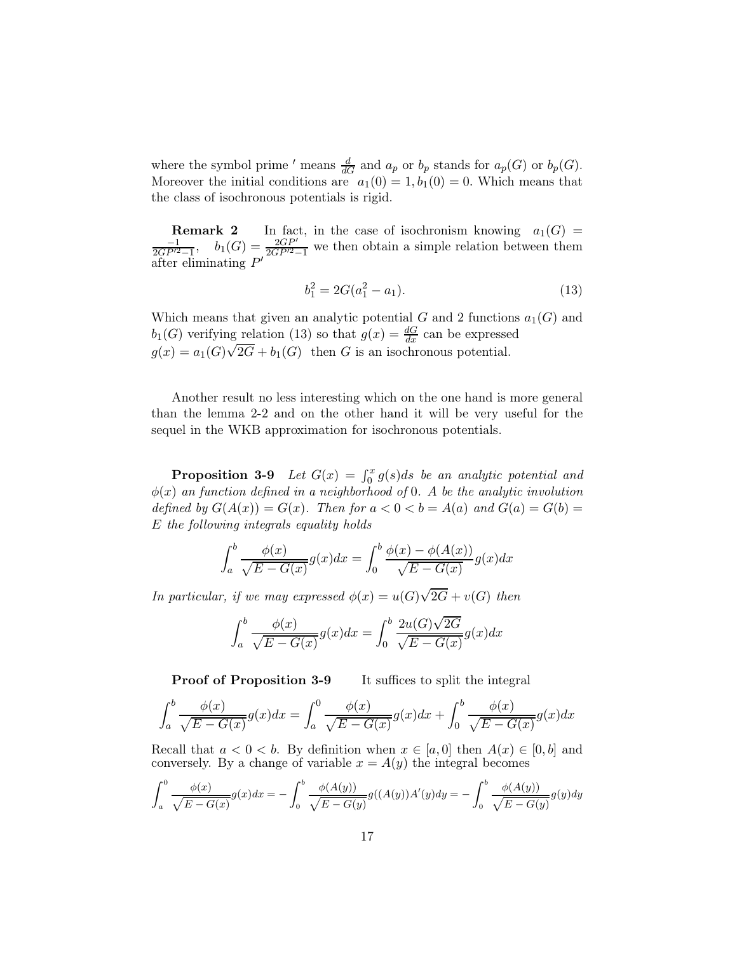where the symbol prime ' means  $\frac{d}{dG}$  and  $a_p$  or  $b_p$  stands for  $a_p(G)$  or  $b_p(G)$ . Moreover the initial conditions are  $a_1(0) = 1, b_1(0) = 0$ . Which means that the class of isochronous potentials is rigid.

**Remark 2** In fact, in the case of isochronism knowing  $a_1(G)$  =  $\frac{-1}{2GP'^2-1}$ ,  $b_1(G) = \frac{2GP'}{2GP'^2-1}$  we then obtain a simple relation between them after eliminating  $P'$ 

$$
b_1^2 = 2G(a_1^2 - a_1). \tag{13}
$$

Which means that given an analytic potential G and 2 functions  $a_1(G)$  and  $b_1(G)$  verifying relation (13) so that  $g(x) = \frac{dG}{dx}$  can be expressed  $g(x) = a_1(G)\sqrt{2G} + b_1(G)$  then G is an isochronous potential.

Another result no less interesting which on the one hand is more general than the lemma 2-2 and on the other hand it will be very useful for the sequel in the WKB approximation for isochronous potentials.

**Proposition 3-9** Let  $G(x) = \int_0^x g(s)ds$  be an analytic potential and  $\phi(x)$  an function defined in a neighborhood of 0. A be the analytic involution defined by  $G(A(x)) = G(x)$ . Then for  $a < 0 < b = A(a)$  and  $G(a) = G(b) =$ E the following integrals equality holds

$$
\int_{a}^{b} \frac{\phi(x)}{\sqrt{E - G(x)}} g(x) dx = \int_{0}^{b} \frac{\phi(x) - \phi(A(x))}{\sqrt{E - G(x)}} g(x) dx
$$

In particular, if we may expressed  $\phi(x) = u(G)\sqrt{2G} + v(G)$  then

$$
\int_a^b \frac{\phi(x)}{\sqrt{E - G(x)}} g(x) dx = \int_0^b \frac{2u(G)\sqrt{2G}}{\sqrt{E - G(x)}} g(x) dx
$$

**Proof of Proposition 3-9** It suffices to split the integral

$$
\int_a^b \frac{\phi(x)}{\sqrt{E - G(x)}} g(x) dx = \int_a^0 \frac{\phi(x)}{\sqrt{E - G(x)}} g(x) dx + \int_0^b \frac{\phi(x)}{\sqrt{E - G(x)}} g(x) dx
$$

Recall that  $a < 0 < b$ . By definition when  $x \in [a, 0]$  then  $A(x) \in [0, b]$  and conversely. By a change of variable  $x = A(y)$  the integral becomes

$$
\int_{a}^{0} \frac{\phi(x)}{\sqrt{E - G(x)}} g(x) dx = -\int_{0}^{b} \frac{\phi(A(y))}{\sqrt{E - G(y)}} g((A(y))A'(y)) dy = -\int_{0}^{b} \frac{\phi(A(y))}{\sqrt{E - G(y)}} g(y) dy
$$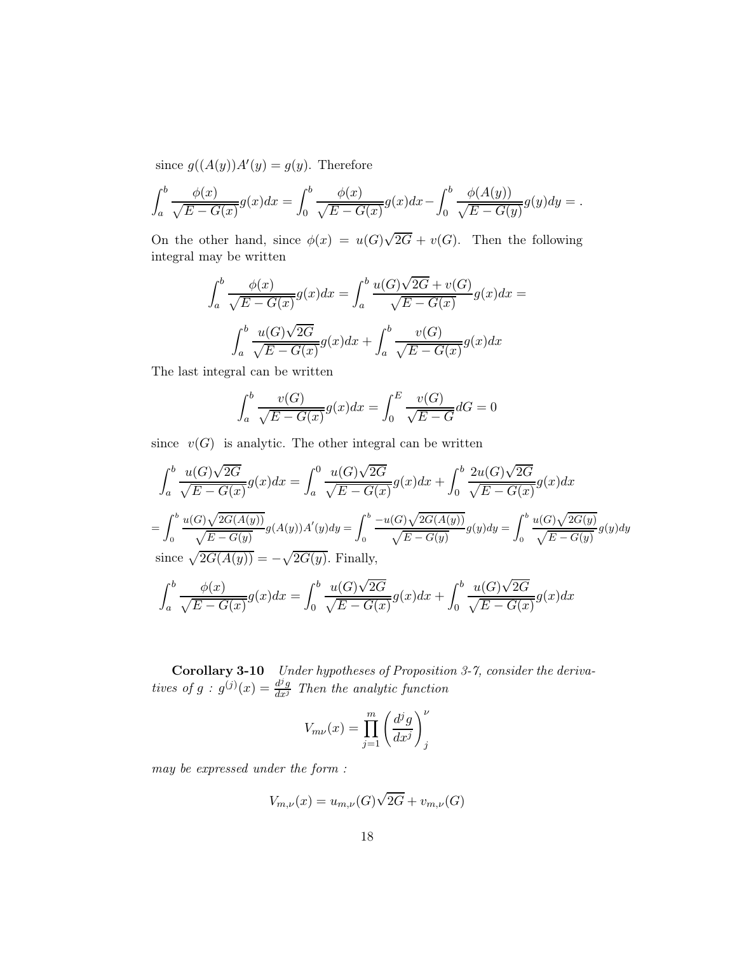since  $g((A(y))A'(y) = g(y)$ . Therefore

$$
\int_{a}^{b} \frac{\phi(x)}{\sqrt{E - G(x)}} g(x) dx = \int_{0}^{b} \frac{\phi(x)}{\sqrt{E - G(x)}} g(x) dx - \int_{0}^{b} \frac{\phi(A(y))}{\sqrt{E - G(y)}} g(y) dy = .
$$

On the other hand, since  $\phi(x) = u(G)\sqrt{2G} + v(G)$ . Then the following integral may be written

$$
\int_{a}^{b} \frac{\phi(x)}{\sqrt{E - G(x)}} g(x) dx = \int_{a}^{b} \frac{u(G)\sqrt{2G} + v(G)}{\sqrt{E - G(x)}} g(x) dx =
$$

$$
\int_{a}^{b} \frac{u(G)\sqrt{2G}}{\sqrt{E - G(x)}} g(x) dx + \int_{a}^{b} \frac{v(G)}{\sqrt{E - G(x)}} g(x) dx
$$

The last integral can be written

$$
\int_a^b \frac{v(G)}{\sqrt{E - G(x)}} g(x) dx = \int_0^E \frac{v(G)}{\sqrt{E - G}} dG = 0
$$

since  $v(G)$  is analytic. The other integral can be written

$$
\int_{a}^{b} \frac{u(G)\sqrt{2G}}{\sqrt{E - G(x)}} g(x) dx = \int_{a}^{0} \frac{u(G)\sqrt{2G}}{\sqrt{E - G(x)}} g(x) dx + \int_{0}^{b} \frac{2u(G)\sqrt{2G}}{\sqrt{E - G(x)}} g(x) dx
$$

$$
= \int_{0}^{b} \frac{u(G)\sqrt{2G(A(y))}}{\sqrt{E - G(y)}} g(A(y)) A'(y) dy = \int_{0}^{b} \frac{-u(G)\sqrt{2G(A(y))}}{\sqrt{E - G(y)}} g(y) dy = \int_{0}^{b} \frac{u(G)\sqrt{2G(y)}}{\sqrt{E - G(y)}} g(y) dy
$$
since  $\sqrt{2G(A(y))} = -\sqrt{2G(y)}$ . Finally,

$$
\int_a^b \frac{\phi(x)}{\sqrt{E - G(x)}} g(x) dx = \int_0^b \frac{u(G)\sqrt{2G}}{\sqrt{E - G(x)}} g(x) dx + \int_0^b \frac{u(G)\sqrt{2G}}{\sqrt{E - G(x)}} g(x) dx
$$

Corollary 3-10 Under hypotheses of Proposition 3-7, consider the derivatives of  $g : g^{(j)}(x) = \frac{d^j g}{dx^j}$  Then the analytic function

$$
V_{m\nu}(x) = \prod_{j=1}^{m} \left(\frac{d^j g}{dx^j}\right)^{\nu}_j
$$

may be expressed under the form :

$$
V_{m,\nu}(x) = u_{m,\nu}(G)\sqrt{2G} + v_{m,\nu}(G)
$$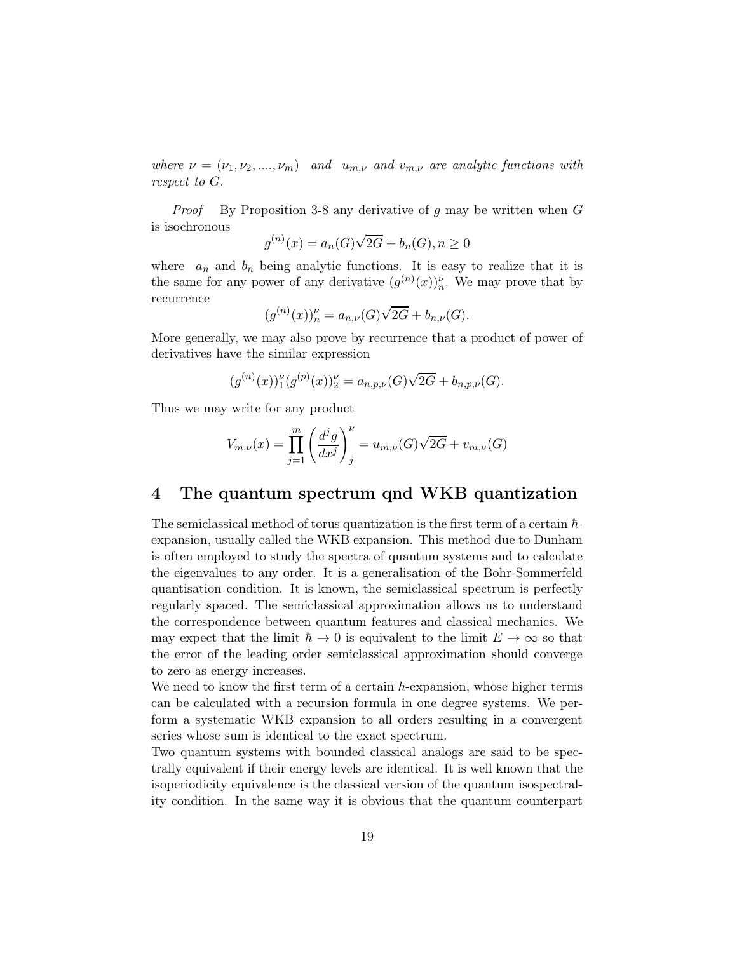where  $\nu = (\nu_1, \nu_2, ..., \nu_m)$  and  $u_{m,\nu}$  and  $v_{m,\nu}$  are analytic functions with respect to G.

*Proof* By Proposition 3-8 any derivative of  $g$  may be written when  $G$ is isochronous

$$
g^{(n)}(x) = a_n(G)\sqrt{2G} + b_n(G), n \ge 0
$$

where  $a_n$  and  $b_n$  being analytic functions. It is easy to realize that it is the same for any power of any derivative  $(g^{(n)}(x))_n^{\nu}$ . We may prove that by recurrence

$$
(g^{(n)}(x))_n^{\nu} = a_{n,\nu}(G)\sqrt{2G} + b_{n,\nu}(G).
$$

More generally, we may also prove by recurrence that a product of power of derivatives have the similar expression

$$
(g^{(n)}(x))_1^{\nu} (g^{(p)}(x))_2^{\nu} = a_{n,p,\nu}(G)\sqrt{2G} + b_{n,p,\nu}(G).
$$

Thus we may write for any product

$$
V_{m,\nu}(x) = \prod_{j=1}^{m} \left( \frac{d^{j}g}{dx^{j}} \right)_{j}^{\nu} = u_{m,\nu}(G)\sqrt{2G} + v_{m,\nu}(G)
$$

## 4 The quantum spectrum qnd WKB quantization

The semiclassical method of torus quantization is the first term of a certain  $\hbar$ expansion, usually called the WKB expansion. This method due to Dunham is often employed to study the spectra of quantum systems and to calculate the eigenvalues to any order. It is a generalisation of the Bohr-Sommerfeld quantisation condition. It is known, the semiclassical spectrum is perfectly regularly spaced. The semiclassical approximation allows us to understand the correspondence between quantum features and classical mechanics. We may expect that the limit  $\hbar \to 0$  is equivalent to the limit  $E \to \infty$  so that the error of the leading order semiclassical approximation should converge to zero as energy increases.

We need to know the first term of a certain  $h$ -expansion, whose higher terms can be calculated with a recursion formula in one degree systems. We perform a systematic WKB expansion to all orders resulting in a convergent series whose sum is identical to the exact spectrum.

Two quantum systems with bounded classical analogs are said to be spectrally equivalent if their energy levels are identical. It is well known that the isoperiodicity equivalence is the classical version of the quantum isospectrality condition. In the same way it is obvious that the quantum counterpart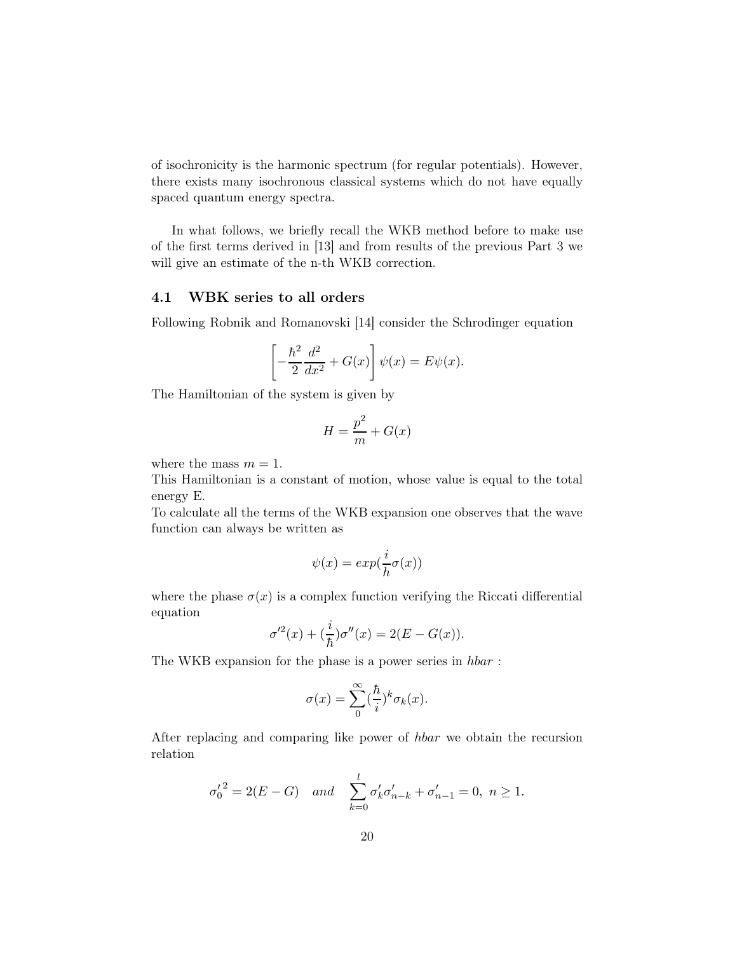of isochronicity is the harmonic spectrum (for regular potentials). However, there exists many isochronous classical systems which do not have equally spaced quantum energy spectra.

In what follows, we briefly recall the WKB method before to make use of the first terms derived in [13] and from results of the previous Part 3 we will give an estimate of the n-th WKB correction.

## 4.1 WBK series to all orders

Following Robnik and Romanovski [14] consider the Schrodinger equation

$$
\left[-\frac{\hbar^2}{2}\frac{d^2}{dx^2} + G(x)\right]\psi(x) = E\psi(x).
$$

The Hamiltonian of the system is given by

$$
H = \frac{p^2}{m} + G(x)
$$

where the mass  $m = 1$ .

This Hamiltonian is a constant of motion, whose value is equal to the total energy E.

To calculate all the terms of the WKB expansion one observes that the wave function can always be written as

$$
\psi(x) = \exp(\frac{i}{h}\sigma(x))
$$

where the phase  $\sigma(x)$  is a complex function verifying the Riccati differential equation

$$
\sigma'^2(x) + \left(\frac{i}{\hbar}\right)\sigma''(x) = 2(E - G(x)).
$$

The WKB expansion for the phase is a power series in hbar :

$$
\sigma(x) = \sum_{0}^{\infty} (\frac{\hbar}{i})^k \sigma_k(x).
$$

After replacing and comparing like power of hbar we obtain the recursion relation

$$
\sigma'_0{}^2 = 2(E - G)
$$
 and  $\sum_{k=0}^l \sigma'_k \sigma'_{n-k} + \sigma'_{n-1} = 0, n \ge 1.$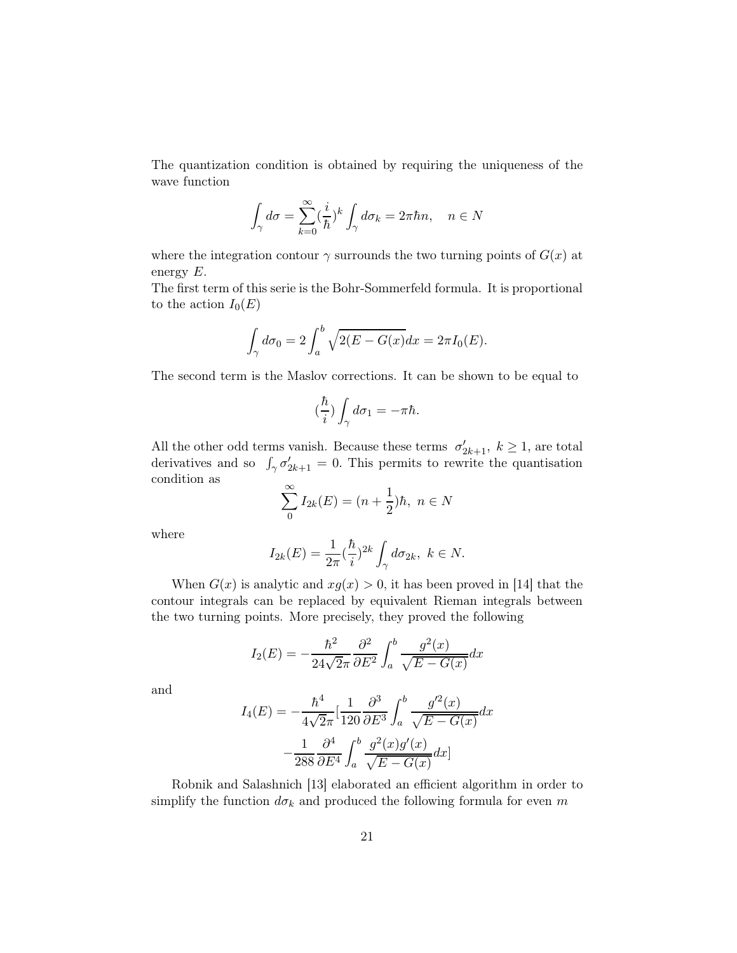The quantization condition is obtained by requiring the uniqueness of the wave function

$$
\int_{\gamma} d\sigma = \sum_{k=0}^{\infty} (\frac{i}{\hbar})^k \int_{\gamma} d\sigma_k = 2\pi \hbar n, \quad n \in N
$$

where the integration contour  $\gamma$  surrounds the two turning points of  $G(x)$  at energy E.

The first term of this serie is the Bohr-Sommerfeld formula. It is proportional to the action  $I_0(E)$ 

$$
\int_{\gamma} d\sigma_0 = 2 \int_a^b \sqrt{2(E - G(x))} dx = 2\pi I_0(E).
$$

The second term is the Maslov corrections. It can be shown to be equal to

$$
\left(\frac{\hbar}{i}\right)\int_{\gamma}d\sigma_1 = -\pi\hbar.
$$

All the other odd terms vanish. Because these terms  $\sigma'_{2k+1}$ ,  $k \geq 1$ , are total derivatives and so  $\int_{\gamma} \sigma'_{2k+1} = 0$ . This permits to rewrite the quantisation condition as

$$
\sum_{0}^{\infty} I_{2k}(E) = (n + \frac{1}{2})\hbar, \ n \in N
$$

where

$$
I_{2k}(E) = \frac{1}{2\pi} (\frac{\hbar}{i})^{2k} \int_{\gamma} d\sigma_{2k}, \ k \in N.
$$

When  $G(x)$  is analytic and  $xg(x) > 0$ , it has been proved in [14] that the contour integrals can be replaced by equivalent Rieman integrals between the two turning points. More precisely, they proved the following

$$
I_2(E) = -\frac{\hbar^2}{24\sqrt{2}\pi} \frac{\partial^2}{\partial E^2} \int_a^b \frac{g^2(x)}{\sqrt{E - G(x)}} dx
$$

and

$$
I_4(E) = -\frac{\hbar^4}{4\sqrt{2}\pi} \left[ \frac{1}{120} \frac{\partial^3}{\partial E^3} \int_a^b \frac{g'^2(x)}{\sqrt{E - G(x)}} dx - \frac{1}{288} \frac{\partial^4}{\partial E^4} \int_a^b \frac{g^2(x)g'(x)}{\sqrt{E - G(x)}} dx \right]
$$

Robnik and Salashnich [13] elaborated an efficient algorithm in order to simplify the function  $d\sigma_k$  and produced the following formula for even m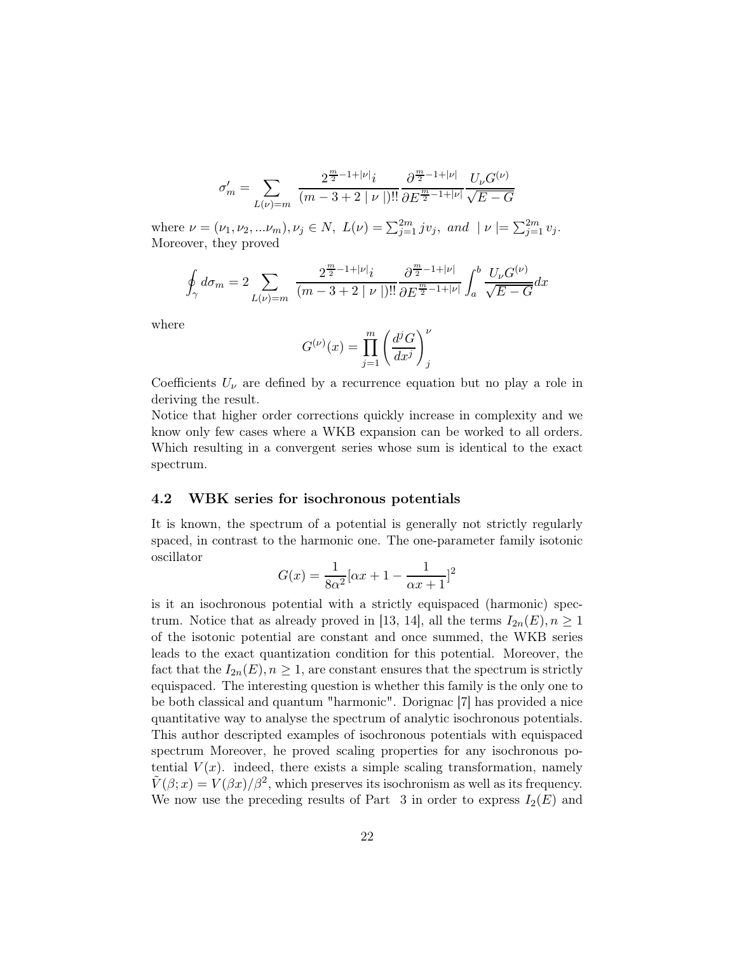$$
\sigma_m' = \sum_{L(\nu)=m} \frac{2^{\frac{m}{2}-1+|\nu|}i}{(m-3+2\mid \nu\mid)!!} \frac{\partial^{\frac{m}{2}-1+|\nu|}}{\partial E^{\frac{m}{2}-1+|\nu|}} \frac{U_\nu G^{(\nu)}}{\sqrt{E-G}}
$$

where  $\nu = (\nu_1, \nu_2, ... \nu_m), \nu_j \in N$ ,  $L(\nu) = \sum_{j=1}^{2m} j \nu_j$ , and  $|\nu| = \sum_{j=1}^{2m} \nu_j$ . Moreover, they proved

$$
\oint_{\gamma} d\sigma_m = 2 \sum_{L(\nu)=m} \frac{2^{\frac{m}{2}-1+|\nu|}i}{(m-3+2|\nu|)!!} \frac{\partial^{\frac{m}{2}-1+|\nu|}}{\partial E^{\frac{m}{2}-1+|\nu|}} \int_a^b \frac{U_{\nu} G^{(\nu)}}{\sqrt{E-G}} dx
$$

where

$$
G^{(\nu)}(x) = \prod_{j=1}^{m} \left( \frac{d^j G}{dx^j} \right)_j^{\nu}
$$

Coefficients  $U_{\nu}$  are defined by a recurrence equation but no play a role in deriving the result.

Notice that higher order corrections quickly increase in complexity and we know only few cases where a WKB expansion can be worked to all orders. Which resulting in a convergent series whose sum is identical to the exact spectrum.

#### 4.2 WBK series for isochronous potentials

It is known, the spectrum of a potential is generally not strictly regularly spaced, in contrast to the harmonic one. The one-parameter family isotonic oscillator

$$
G(x) = \frac{1}{8\alpha^2} [\alpha x + 1 - \frac{1}{\alpha x + 1}]^2
$$

is it an isochronous potential with a strictly equispaced (harmonic) spectrum. Notice that as already proved in [13, 14], all the terms  $I_{2n}(E)$ ,  $n \geq 1$ of the isotonic potential are constant and once summed, the WKB series leads to the exact quantization condition for this potential. Moreover, the fact that the  $I_{2n}(E), n \geq 1$ , are constant ensures that the spectrum is strictly equispaced. The interesting question is whether this family is the only one to be both classical and quantum "harmonic". Dorignac [7] has provided a nice quantitative way to analyse the spectrum of analytic isochronous potentials. This author descripted examples of isochronous potentials with equispaced spectrum Moreover, he proved scaling properties for any isochronous potential  $V(x)$ . indeed, there exists a simple scaling transformation, namely  $\tilde{V}(\beta; x) = V(\beta x)/\beta^2$ , which preserves its isochronism as well as its frequency. We now use the preceding results of Part 3 in order to express  $I_2(E)$  and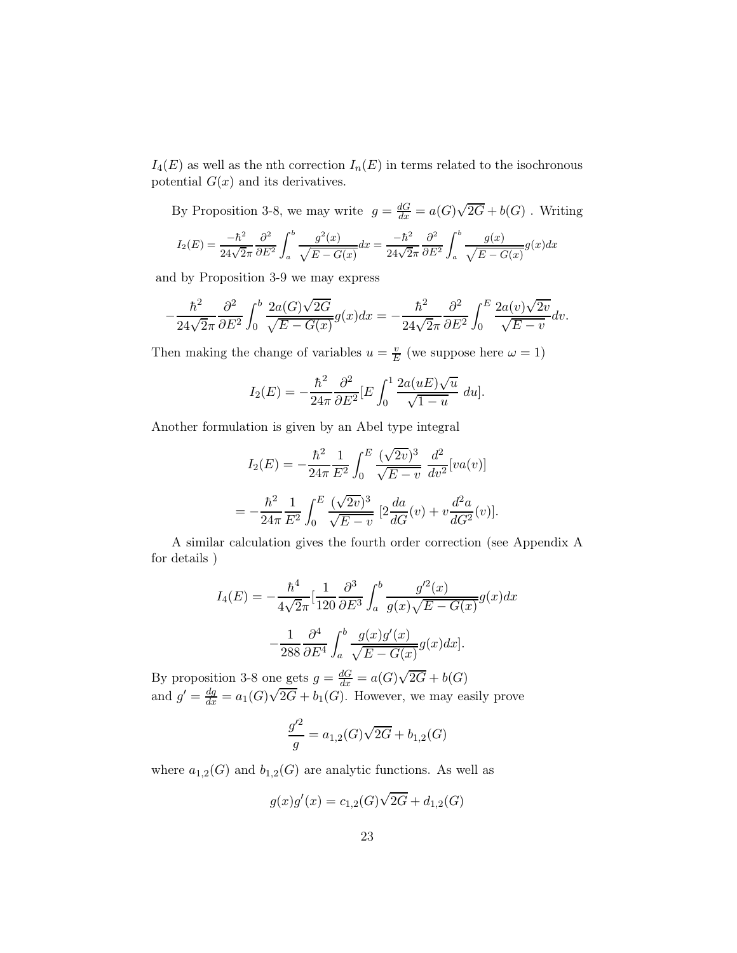$I_4(E)$  as well as the nth correction  $I_n(E)$  in terms related to the isochronous potential  $G(x)$  and its derivatives.

By Proposition 3-8, we may write  $g = \frac{dG}{dx} = a(G)\sqrt{2G} + b(G)$ . Writing

$$
I_2(E) = \frac{-\hbar^2}{24\sqrt{2\pi}} \frac{\partial^2}{\partial E^2} \int_a^b \frac{g^2(x)}{\sqrt{E - G(x)}} dx = \frac{-\hbar^2}{24\sqrt{2\pi}} \frac{\partial^2}{\partial E^2} \int_a^b \frac{g(x)}{\sqrt{E - G(x)}} g(x) dx
$$

and by Proposition 3-9 we may express

−

$$
\frac{\hbar^2}{24\sqrt{2\pi}}\frac{\partial^2}{\partial E^2}\int_0^b\frac{2a(G)\sqrt{2G}}{\sqrt{E-G(x)}}g(x)dx=-\frac{\hbar^2}{24\sqrt{2\pi}}\frac{\partial^2}{\partial E^2}\int_0^E\frac{2a(v)\sqrt{2v}}{\sqrt{E-v}}dv.
$$

Then making the change of variables  $u = \frac{v}{R}$  $\frac{v}{E}$  (we suppose here  $\omega = 1$ )

$$
I_2(E) = -\frac{\hbar^2}{24\pi} \frac{\partial^2}{\partial E^2} [E \int_0^1 \frac{2a(uE)\sqrt{u}}{\sqrt{1-u}} du].
$$

Another formulation is given by an Abel type integral

$$
I_2(E) = -\frac{\hbar^2}{24\pi} \frac{1}{E^2} \int_0^E \frac{(\sqrt{2v})^3}{\sqrt{E - v}} \frac{d^2}{dv^2} [va(v)]
$$
  
=  $-\frac{\hbar^2}{24\pi} \frac{1}{E^2} \int_0^E \frac{(\sqrt{2v})^3}{\sqrt{E - v}} [2\frac{da}{dG}(v) + v\frac{d^2a}{dG^2}(v)].$ 

A similar calculation gives the fourth order correction (see Appendix A for details )

$$
I_4(E) = -\frac{\hbar^4}{4\sqrt{2\pi}} \left[\frac{1}{120} \frac{\partial^3}{\partial E^3} \int_a^b \frac{g'^2(x)}{g(x)\sqrt{E - G(x)}} g(x) dx - \frac{1}{288} \frac{\partial^4}{\partial E^4} \int_a^b \frac{g(x)g'(x)}{\sqrt{E - G(x)}} g(x) dx\right].
$$

By proposition 3-8 one gets  $g = \frac{dG}{dx} = a(G)\sqrt{2G} + b(G)$ and  $g' = \frac{dg}{dx} = a_1(G)\sqrt{2G} + b_1(G)$ . However, we may easily prove

$$
\frac{g'^2}{g} = a_{1,2}(G)\sqrt{2G} + b_{1,2}(G)
$$

where  $a_{1,2}(G)$  and  $b_{1,2}(G)$  are analytic functions. As well as

$$
g(x)g'(x) = c_{1,2}(G)\sqrt{2G} + d_{1,2}(G)
$$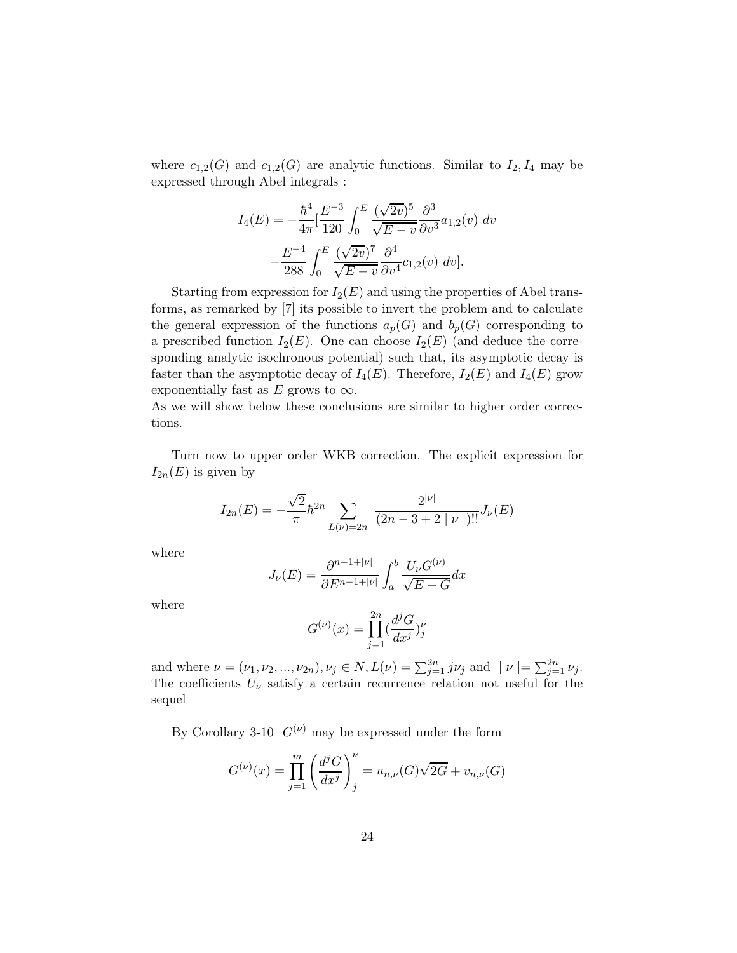where  $c_{1,2}(G)$  and  $c_{1,2}(G)$  are analytic functions. Similar to  $I_2, I_4$  may be expressed through Abel integrals :

$$
I_4(E) = -\frac{\hbar^4}{4\pi} \left[ \frac{E^{-3}}{120} \int_0^E \frac{(\sqrt{2v})^5}{\sqrt{E - v}} \frac{\partial^3}{\partial v^3} a_{1,2}(v) \ dv - \frac{E^{-4}}{288} \int_0^E \frac{(\sqrt{2v})^7}{\sqrt{E - v}} \frac{\partial^4}{\partial v^4} c_{1,2}(v) \ dv \right].
$$

Starting from expression for  $I_2(E)$  and using the properties of Abel transforms, as remarked by [7] its possible to invert the problem and to calculate the general expression of the functions  $a_p(G)$  and  $b_p(G)$  corresponding to a prescribed function  $I_2(E)$ . One can choose  $I_2(E)$  (and deduce the corresponding analytic isochronous potential) such that, its asymptotic decay is faster than the asymptotic decay of  $I_4(E)$ . Therefore,  $I_2(E)$  and  $I_4(E)$  grow exponentially fast as E grows to  $\infty$ .

As we will show below these conclusions are similar to higher order corrections.

Turn now to upper order WKB correction. The explicit expression for  $I_{2n}(E)$  is given by

$$
I_{2n}(E) = -\frac{\sqrt{2}}{\pi} \hbar^{2n} \sum_{L(\nu)=2n} \frac{2^{|\nu|}}{(2n-3+2|\nu|)!!} J_{\nu}(E)
$$

where

$$
J_{\nu}(E) = \frac{\partial^{n-1+|\nu|}}{\partial E^{n-1+|\nu|}} \int_a^b \frac{U_{\nu} G^{(\nu)}}{\sqrt{E - G}} dx
$$

where

$$
G^{(\nu)}(x) = \prod_{j=1}^{2n} (\frac{d^j G}{dx^j})_j^{\nu}
$$

and where  $\nu = (\nu_1, \nu_2, ..., \nu_{2n}), \nu_j \in N, L(\nu) = \sum_{j=1}^{2n} j\nu_j$  and  $|\nu| = \sum_{j=1}^{2n} \nu_j$ . The coefficients  $U_{\nu}$  satisfy a certain recurrence relation not useful for the sequel

By Corollary 3-10  $G^{(\nu)}$  may be expressed under the form

$$
G^{(\nu)}(x) = \prod_{j=1}^{m} \left( \frac{d^j G}{dx^j} \right)_j^{\nu} = u_{n,\nu}(G) \sqrt{2G} + v_{n,\nu}(G)
$$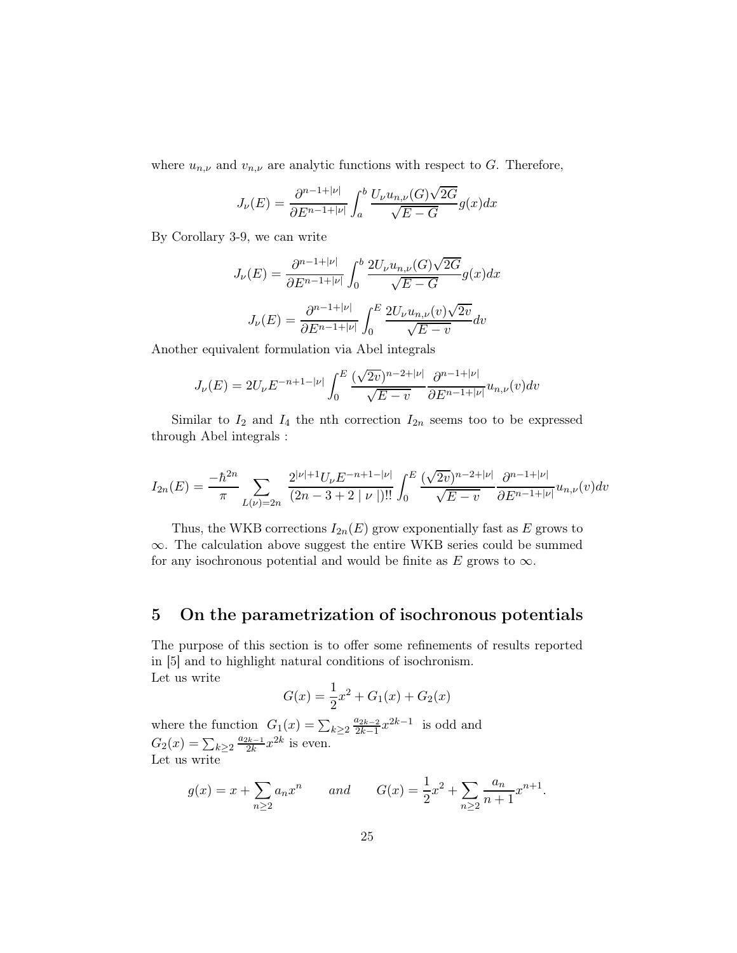where  $u_{n,\nu}$  and  $v_{n,\nu}$  are analytic functions with respect to G. Therefore,

$$
J_{\nu}(E) = \frac{\partial^{n-1+|\nu|}}{\partial E^{n-1+|\nu|}} \int_a^b \frac{U_{\nu} u_{n,\nu}(G) \sqrt{2G}}{\sqrt{E - G}} g(x) dx
$$

By Corollary 3-9, we can write

$$
J_{\nu}(E) = \frac{\partial^{n-1+|\nu|}}{\partial E^{n-1+|\nu|}} \int_0^b \frac{2U_{\nu}u_{n,\nu}(G)\sqrt{2G}}{\sqrt{E-G}} g(x)dx
$$

$$
J_{\nu}(E) = \frac{\partial^{n-1+|\nu|}}{\partial E^{n-1+|\nu|}} \int_0^E \frac{2U_{\nu}u_{n,\nu}(v)\sqrt{2v}}{\sqrt{E-v}} dv
$$

Another equivalent formulation via Abel integrals

$$
J_{\nu}(E) = 2U_{\nu}E^{-n+1-|\nu|} \int_0^E \frac{(\sqrt{2v})^{n-2+|\nu|}}{\sqrt{E-v}} \frac{\partial^{n-1+|\nu|}}{\partial E^{n-1+|\nu|}} u_{n,\nu}(v) dv
$$

Similar to  $I_2$  and  $I_4$  the nth correction  $I_{2n}$  seems too to be expressed through Abel integrals :

$$
I_{2n}(E) = \frac{-\hbar^{2n}}{\pi} \sum_{L(\nu)=2n} \frac{2^{|\nu|+1} U_{\nu} E^{-n+1-|\nu|}}{(2n-3+2|\nu|)!!} \int_0^E \frac{(\sqrt{2v})^{n-2+|\nu|}}{\sqrt{E-v}} \frac{\partial^{n-1+|\nu|}}{\partial E^{n-1+|\nu|}} u_{n,\nu}(v) dv
$$

Thus, the WKB corrections  $I_{2n}(E)$  grow exponentially fast as E grows to ∞. The calculation above suggest the entire WKB series could be summed for any isochronous potential and would be finite as E grows to  $\infty$ .

## 5 On the parametrization of isochronous potentials

The purpose of this section is to offer some refinements of results reported in [5] and to highlight natural conditions of isochronism. Let us write

$$
G(x) = \frac{1}{2}x^2 + G_1(x) + G_2(x)
$$

where the function  $G_1(x) = \sum_{k \geq 2}$  $a_{2k-2}$  $\frac{a_{2k-2}}{2k-1}x^{2k-1}$  is odd and  $G_2(x) = \sum_{k \geq 2}$  $a_{2k-1}$  $\frac{2k-1}{2k}x^{2k}$  is even. Let us write

$$
g(x) = x + \sum_{n\geq 2} a_n x^n
$$
 and  $G(x) = \frac{1}{2}x^2 + \sum_{n\geq 2} \frac{a_n}{n+1} x^{n+1}.$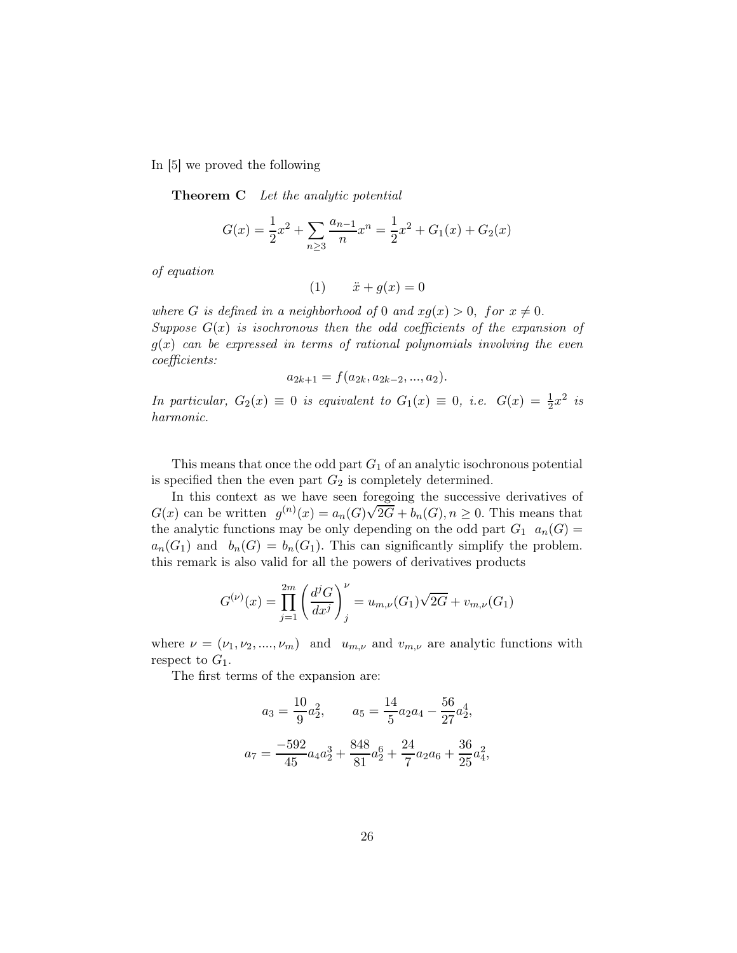In [5] we proved the following

**Theorem C** Let the analytic potential

$$
G(x) = \frac{1}{2}x^2 + \sum_{n\geq 3} \frac{a_{n-1}}{n} x^n = \frac{1}{2}x^2 + G_1(x) + G_2(x)
$$

of equation

$$
(1) \qquad \ddot{x} + g(x) = 0
$$

where G is defined in a neighborhood of 0 and  $xg(x) > 0$ , for  $x \neq 0$ . Suppose  $G(x)$  is isochronous then the odd coefficients of the expansion of  $g(x)$  can be expressed in terms of rational polynomials involving the even coefficients:

$$
a_{2k+1} = f(a_{2k}, a_{2k-2}, ..., a_2).
$$

In particular,  $G_2(x) \equiv 0$  is equivalent to  $G_1(x) \equiv 0$ , i.e.  $G(x) = \frac{1}{2}x^2$  is harmonic.

This means that once the odd part  $G_1$  of an analytic isochronous potential is specified then the even part  $G_2$  is completely determined.

In this context as we have seen foregoing the successive derivatives of  $G(x)$  can be written  $g^{(n)}(x) = a_n(G)\sqrt{2G} + b_n(G), n \ge 0$ . This means that the analytic functions may be only depending on the odd part  $G_1$   $a_n(G)$  $a_n(G_1)$  and  $b_n(G) = b_n(G_1)$ . This can significantly simplify the problem. this remark is also valid for all the powers of derivatives products

$$
G^{(\nu)}(x) = \prod_{j=1}^{2m} \left( \frac{d^j G}{dx^j} \right)_j^{\nu} = u_{m,\nu}(G_1) \sqrt{2G} + v_{m,\nu}(G_1)
$$

where  $\nu = (\nu_1, \nu_2, ..., \nu_m)$  and  $u_{m,\nu}$  and  $v_{m,\nu}$  are analytic functions with respect to  $G_1$ .

The first terms of the expansion are:

$$
a_3 = \frac{10}{9}a_2^2, \qquad a_5 = \frac{14}{5}a_2a_4 - \frac{56}{27}a_2^4,
$$

$$
a_7 = \frac{-592}{45}a_4a_2^3 + \frac{848}{81}a_2^6 + \frac{24}{7}a_2a_6 + \frac{36}{25}a_4^2,
$$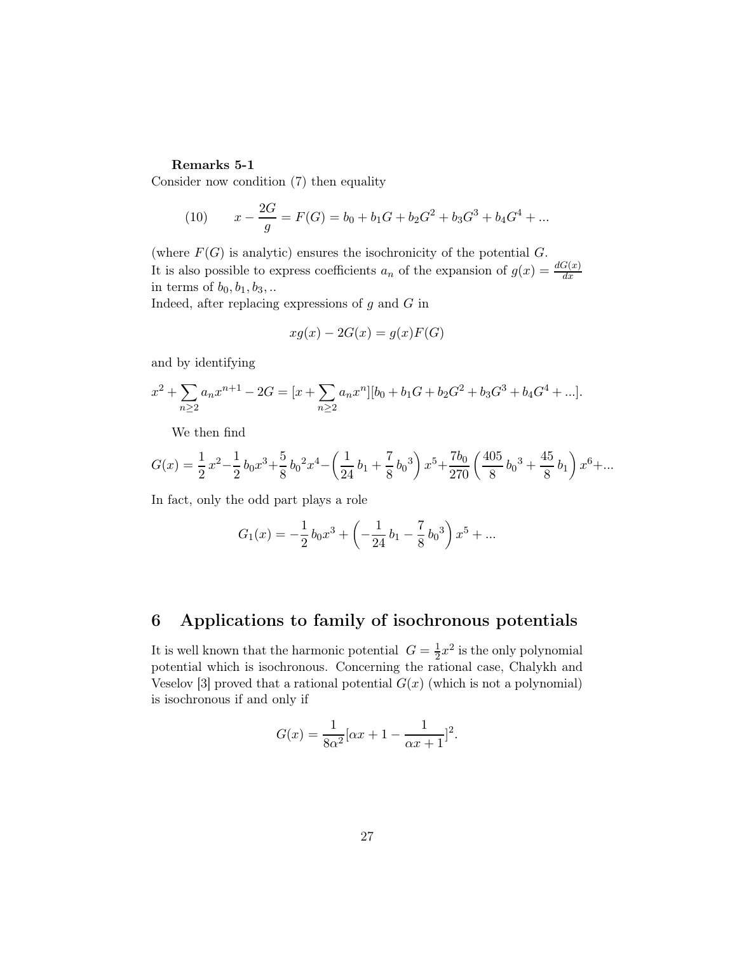## Remarks 5-1

Consider now condition (7) then equality

(10) 
$$
x - \frac{2G}{g} = F(G) = b_0 + b_1G + b_2G^2 + b_3G^3 + b_4G^4 + \dots
$$

(where  $F(G)$  is analytic) ensures the isochronicity of the potential  $G$ . It is also possible to express coefficients  $a_n$  of the expansion of  $g(x) = \frac{dG(x)}{dx}$ in terms of  $b_0$ ,  $b_1$ ,  $b_3$ , ...

Indeed, after replacing expressions of  $g$  and  $G$  in

$$
xg(x) - 2G(x) = g(x)F(G)
$$

and by identifying

$$
x^{2} + \sum_{n \geq 2} a_{n} x^{n+1} - 2G = [x + \sum_{n \geq 2} a_{n} x^{n}][b_{0} + b_{1} G + b_{2} G^{2} + b_{3} G^{3} + b_{4} G^{4} + ...].
$$

We then find

$$
G(x) = \frac{1}{2}x^2 - \frac{1}{2}b_0x^3 + \frac{5}{8}b_0x^4 - \left(\frac{1}{24}b_1 + \frac{7}{8}b_0x^3\right)x^5 + \frac{7b_0}{270}\left(\frac{405}{8}b_0x^3 + \frac{45}{8}b_1\right)x^6 + \dots
$$

In fact, only the odd part plays a role

$$
G_1(x) = -\frac{1}{2}b_0x^3 + \left(-\frac{1}{24}b_1 - \frac{7}{8}b_0^3\right)x^5 + \dots
$$

## 6 Applications to family of isochronous potentials

It is well known that the harmonic potential  $G = \frac{1}{2}x^2$  is the only polynomial potential which is isochronous. Concerning the rational case, Chalykh and Veselov [3] proved that a rational potential  $G(x)$  (which is not a polynomial) is isochronous if and only if

$$
G(x) = \frac{1}{8\alpha^2} [\alpha x + 1 - \frac{1}{\alpha x + 1}]^2.
$$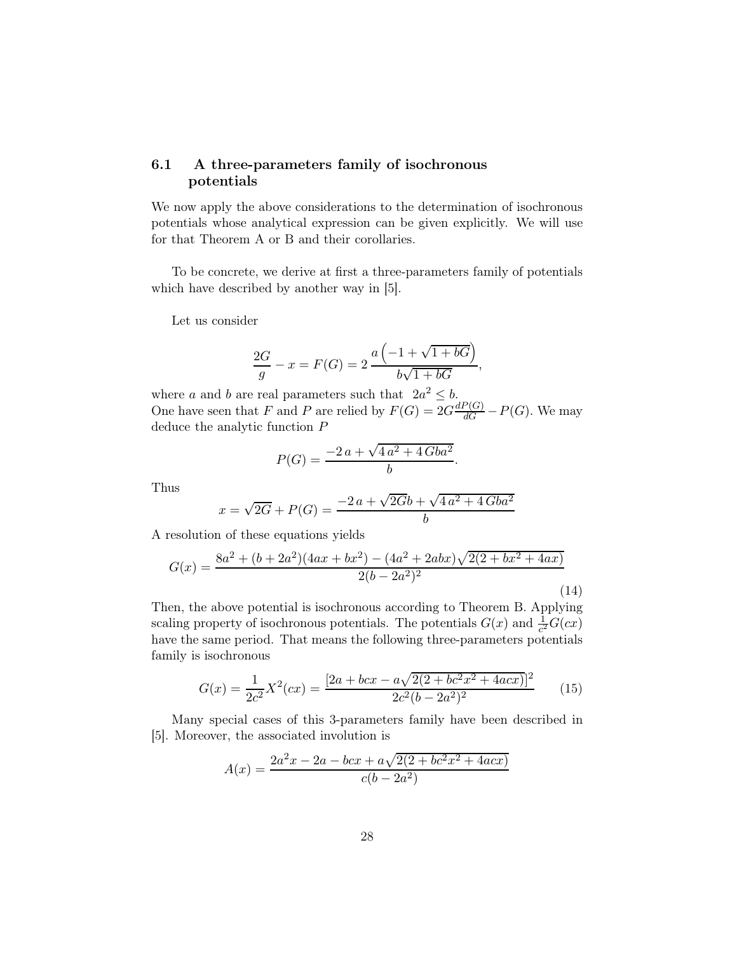## 6.1 A three-parameters family of isochronous potentials

We now apply the above considerations to the determination of isochronous potentials whose analytical expression can be given explicitly. We will use for that Theorem A or B and their corollaries.

To be concrete, we derive at first a three-parameters family of potentials which have described by another way in [5].

Let us consider

$$
\frac{2G}{g} - x = F(G) = 2 \frac{a\left(-1 + \sqrt{1 + bG}\right)}{b\sqrt{1 + bG}},
$$

where a and b are real parameters such that  $2a^2 \leq b$ . One have seen that F and P are relied by  $F(G) = 2G \frac{dP(G)}{dG} - P(G)$ . We may deduce the analytic function P

$$
P(G) = \frac{-2 a + \sqrt{4 a^2 + 4 G b a^2}}{b}.
$$

Thus

$$
x = \sqrt{2G} + P(G) = \frac{-2a + \sqrt{2G}b + \sqrt{4a^2 + 4Gba^2}}{b}
$$

A resolution of these equations yields

$$
G(x) = \frac{8a^2 + (b + 2a^2)(4ax + bx^2) - (4a^2 + 2abx)\sqrt{2(2 + bx^2 + 4ax)}}{2(b - 2a^2)^2}
$$
\n(14)

Then, the above potential is isochronous according to Theorem B. Applying scaling property of isochronous potentials. The potentials  $G(x)$  and  $\frac{1}{c^2}G(cx)$ have the same period. That means the following three-parameters potentials family is isochronous

$$
G(x) = \frac{1}{2c^2}X^2(cx) = \frac{[2a + bcx - a\sqrt{2(2 + bc^2x^2 + 4acx)}]^2}{2c^2(b - 2a^2)^2}
$$
(15)

Many special cases of this 3-parameters family have been described in [5]. Moreover, the associated involution is

$$
A(x) = \frac{2a^2x - 2a - bcx + a\sqrt{2(2 + bc^2x^2 + 4acx)}}{c(b - 2a^2)}
$$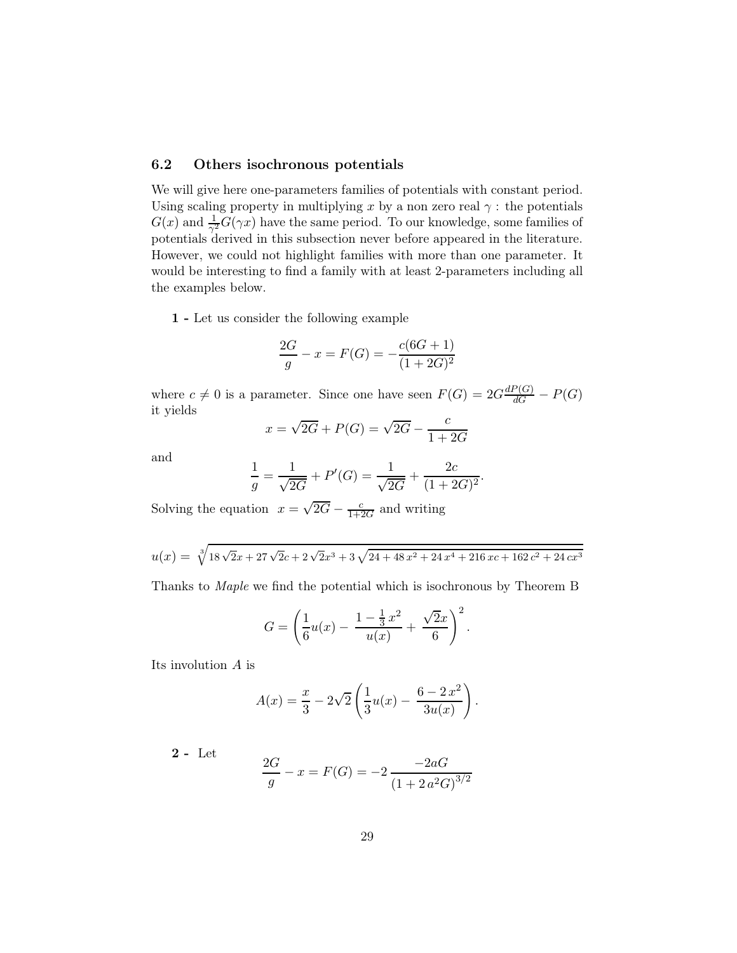## 6.2 Others isochronous potentials

We will give here one-parameters families of potentials with constant period. Using scaling property in multiplying x by a non zero real  $\gamma$ : the potentials  $G(x)$  and  $\frac{1}{\gamma^2}G(\gamma x)$  have the same period. To our knowledge, some families of potentials derived in this subsection never before appeared in the literature. However, we could not highlight families with more than one parameter. It would be interesting to find a family with at least 2-parameters including all the examples below.

1 - Let us consider the following example

$$
\frac{2G}{g} - x = F(G) = -\frac{c(6G+1)}{(1+2G)^2}
$$

where  $c \neq 0$  is a parameter. Since one have seen  $F(G) = 2G \frac{dP(G)}{dG} - P(G)$ it yields

$$
x = \sqrt{2G} + P(G) = \sqrt{2G} - \frac{c}{1 + 2G}
$$

and

$$
\frac{1}{g} = \frac{1}{\sqrt{2G}} + P'(G) = \frac{1}{\sqrt{2G}} + \frac{2c}{(1+2G)^2}.
$$

Solving the equation  $x = \sqrt{2G} - \frac{c}{1+2G}$  and writing

$$
u(x) = \sqrt[3]{18\sqrt{2}x + 27\sqrt{2}c + 2\sqrt{2}x^3 + 3\sqrt{24 + 48x^2 + 24x^4 + 216xc + 162c^2 + 24cx^3}}
$$

Thanks to Maple we find the potential which is isochronous by Theorem B

$$
G = \left(\frac{1}{6}u(x) - \frac{1 - \frac{1}{3}x^2}{u(x)} + \frac{\sqrt{2}x}{6}\right)^2.
$$

Its involution A is

$$
A(x) = \frac{x}{3} - 2\sqrt{2} \left( \frac{1}{3} u(x) - \frac{6 - 2x^2}{3u(x)} \right).
$$

2 - Let

$$
\frac{2G}{g} - x = F(G) = -2 \frac{-2aG}{(1 + 2a^2G)^{3/2}}
$$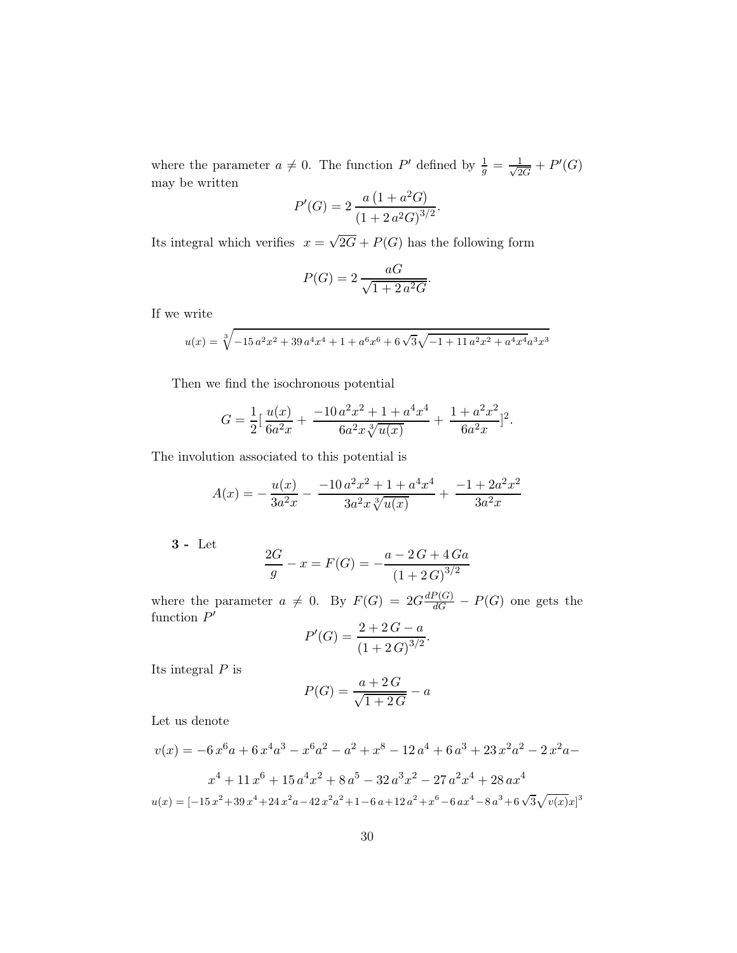where the parameter  $a \neq 0$ . The function P' defined by  $\frac{1}{g} = \frac{1}{\sqrt{2}}$  $\frac{1}{2G}+P'(G)$ may be written

$$
P'(G) = 2 \frac{a (1 + a^2 G)}{(1 + 2 a^2 G)^{3/2}}.
$$

Its integral which verifies  $x = \sqrt{2G} + P(G)$  has the following form

$$
P(G) = 2 \frac{aG}{\sqrt{1 + 2 a^2 G}}.
$$

If we write

$$
u(x) = \sqrt[3]{-15 a^2 x^2 + 39 a^4 x^4 + 1 + a^6 x^6 + 6 \sqrt{3} \sqrt{-1 + 11 a^2 x^2 + a^4 x^4} a^3 x^3}
$$

Then we find the isochronous potential

$$
G = \frac{1}{2} \left[ \frac{u(x)}{6a^2 x} + \frac{-10 a^2 x^2 + 1 + a^4 x^4}{6a^2 x \sqrt[3]{u(x)}} + \frac{1 + a^2 x^2}{6a^2 x} \right]^2.
$$

The involution associated to this potential is

$$
A(x) = -\frac{u(x)}{3a^2x} - \frac{-10 a^2 x^2 + 1 + a^4 x^4}{3a^2 x \sqrt[3]{u(x)}} + \frac{-1 + 2a^2 x^2}{3a^2 x}
$$

3 - Let

$$
\frac{2G}{g} - x = F(G) = -\frac{a - 2G + 4Ga}{(1 + 2G)^{3/2}}
$$

where the parameter  $a \neq 0$ . By  $F(G) = 2G \frac{dP(G)}{dG} - P(G)$  one gets the function  $P'$ <br> $P'(G) = \frac{2 + 2G - a}{(G - 2G - 3)^{3/2}}$ 

$$
P'(G) = \frac{2 + 2G - a}{(1 + 2G)^{3/2}}.
$$

Its integral  $P$  is

$$
P(G) = \frac{a+2G}{\sqrt{1+2G}} - a
$$

Let us denote

$$
v(x) = -6x^{6}a + 6x^{4}a^{3} - x^{6}a^{2} - a^{2} + x^{8} - 12a^{4} + 6a^{3} + 23x^{2}a^{2} - 2x^{2}a - x^{4} + 11x^{6} + 15a^{4}x^{2} + 8a^{5} - 32a^{3}x^{2} - 27a^{2}x^{4} + 28ax^{4}
$$
  

$$
u(x) = [-15x^{2} + 39x^{4} + 24x^{2}a - 42x^{2}a^{2} + 1 - 6a + 12a^{2} + x^{6} - 6ax^{4} - 8a^{3} + 6\sqrt{3}\sqrt{v(x)}x]^{3}
$$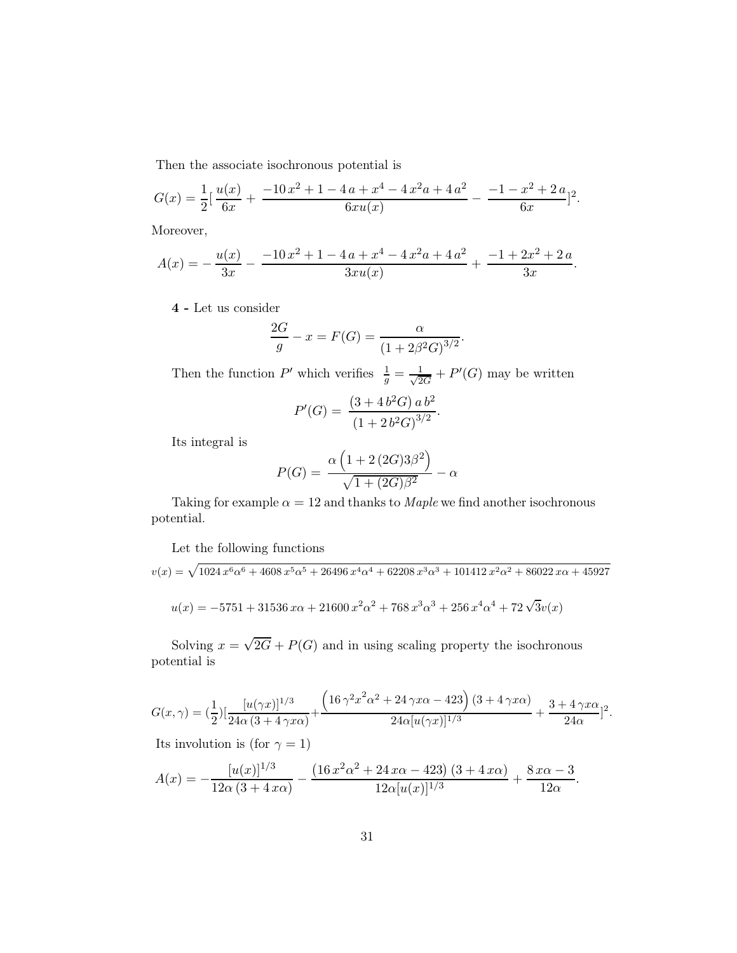Then the associate isochronous potential is

$$
G(x) = \frac{1}{2} \left[ \frac{u(x)}{6x} + \frac{-10 x^2 + 1 - 4 a + x^4 - 4 x^2 a + 4 a^2}{6 x u(x)} - \frac{-1 - x^2 + 2 a}{6 x} \right]^2.
$$

Moreover,

$$
A(x) = -\frac{u(x)}{3x} - \frac{-10x^2 + 1 - 4a + x^4 - 4x^2a + 4a^2}{3xu(x)} + \frac{-1 + 2x^2 + 2a}{3x}.
$$

4 - Let us consider

$$
\frac{2G}{g} - x = F(G) = \frac{\alpha}{(1 + 2\beta^2 G)^{3/2}}.
$$

Then the function P' which verifies  $\frac{1}{g} = \frac{1}{\sqrt{2}}$  $\frac{1}{2G}+P'(G)$  may be written

$$
P'(G) = \frac{(3 + 4b^2G) a b^2}{(1 + 2b^2G)^{3/2}}.
$$

Its integral is

$$
P(G) = \frac{\alpha \left(1 + 2(2G)3\beta^2\right)}{\sqrt{1 + (2G)\beta^2}} - \alpha
$$

Taking for example  $\alpha = 12$  and thanks to *Maple* we find another isochronous potential.

Let the following functions

$$
v(x) = \sqrt{1024 \, x^6 \alpha^6 + 4608 \, x^5 \alpha^5 + 26496 \, x^4 \alpha^4 + 62208 \, x^3 \alpha^3 + 101412 \, x^2 \alpha^2 + 86022 \, x\alpha + 45927
$$
\n
$$
u(x) = -5751 + 31536 \, x\alpha + 21600 \, x^2 \alpha^2 + 768 \, x^3 \alpha^3 + 256 \, x^4 \alpha^4 + 72 \sqrt{3} v(x)
$$

Solving  $x = \sqrt{2G} + P(G)$  and in using scaling property the isochronous potential is

$$
G(x,\gamma) = \left(\frac{1}{2}\right) \left[\frac{[u(\gamma x)]^{1/3}}{24\alpha(3+4\gamma x\alpha)} + \frac{\left(16\gamma^2 x^2 \alpha^2 + 24\gamma x\alpha - 423\right) (3+4\gamma x\alpha)}{24\alpha [u(\gamma x)]^{1/3}} + \frac{3+4\gamma x\alpha}{24\alpha} \right]^2.
$$

Its involution is (for  $\gamma=1)$ 

$$
A(x) = -\frac{[u(x)]^{1/3}}{12\alpha(3+4x\alpha)} - \frac{(16x^2\alpha^2 + 24x\alpha - 423)(3+4x\alpha)}{12\alpha[u(x)]^{1/3}} + \frac{8x\alpha - 3}{12\alpha}.
$$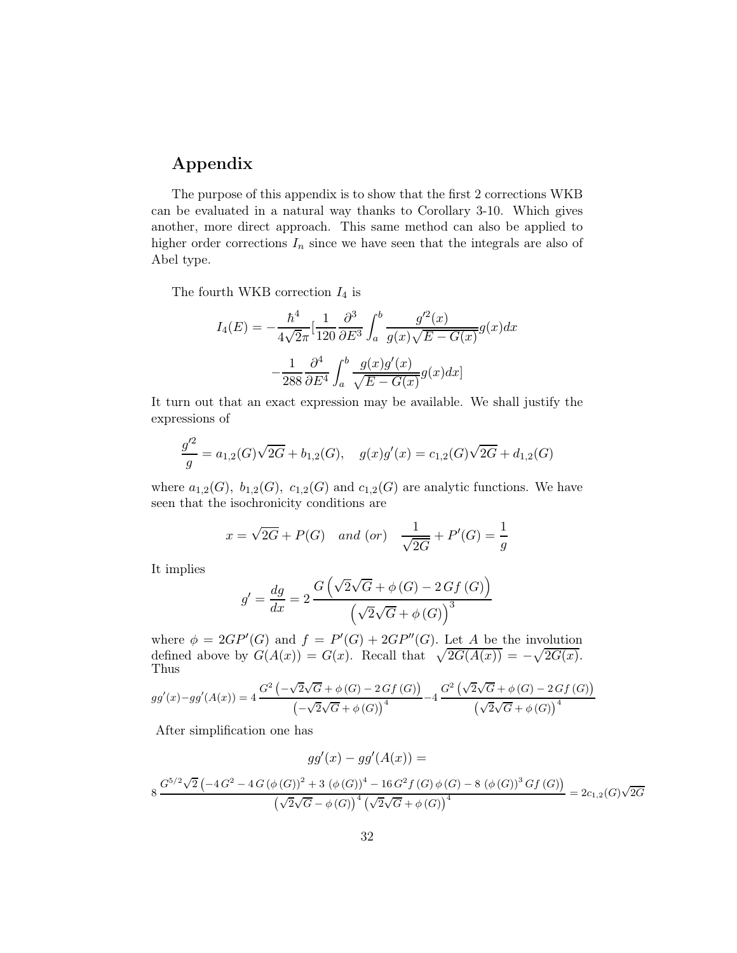## Appendix

The purpose of this appendix is to show that the first 2 corrections WKB can be evaluated in a natural way thanks to Corollary 3-10. Which gives another, more direct approach. This same method can also be applied to higher order corrections  $I_n$  since we have seen that the integrals are also of Abel type.

The fourth WKB correction  $I_4$  is

$$
I_4(E) = -\frac{\hbar^4}{4\sqrt{2\pi}} \left[\frac{1}{120} \frac{\partial^3}{\partial E^3} \int_a^b \frac{g'^2(x)}{g(x)\sqrt{E - G(x)}} g(x) dx - \frac{1}{288} \frac{\partial^4}{\partial E^4} \int_a^b \frac{g(x)g'(x)}{\sqrt{E - G(x)}} g(x) dx\right]
$$

It turn out that an exact expression may be available. We shall justify the expressions of

$$
\frac{g'^2}{g} = a_{1,2}(G)\sqrt{2G} + b_{1,2}(G), \quad g(x)g'(x) = c_{1,2}(G)\sqrt{2G} + d_{1,2}(G)
$$

where  $a_{1,2}(G)$ ,  $b_{1,2}(G)$ ,  $c_{1,2}(G)$  and  $c_{1,2}(G)$  are analytic functions. We have seen that the isochronicity conditions are

$$
x = \sqrt{2G} + P(G)
$$
 and (or)  $\frac{1}{\sqrt{2G}} + P'(G) = \frac{1}{g}$ 

It implies

$$
g' = \frac{dg}{dx} = 2 \frac{G(\sqrt{2}\sqrt{G} + \phi(G) - 2Gf(G))}{(\sqrt{2}\sqrt{G} + \phi(G))^3}
$$

where  $\phi = 2GP'(G)$  and  $f = P'(G) + 2GP''(G)$ . Let A be the involution defined above by  $G(A(x)) = G(x)$ . Recall that  $\sqrt{2G(A(x))} = -\sqrt{2G(x)}$ . Thus

$$
gg'(x)-gg'(A(x)) = 4\frac{G^2(\sqrt{2}\sqrt{G} + \phi(G) - 2\,Gf(G))}{(\sqrt{2}\sqrt{G} + \phi(G))^4} - 4\frac{G^2(\sqrt{2}\sqrt{G} + \phi(G) - 2\,Gf(G))}{(\sqrt{2}\sqrt{G} + \phi(G))^4}
$$

After simplification one has

$$
gg'(x) - gg'(A(x)) =
$$
  
\n
$$
8 \frac{G^{5/2}\sqrt{2}(-4G^2 - 4G(\phi(G))^2 + 3(\phi(G))^4 - 16G^2f(G)\phi(G) - 8(\phi(G))^3Gf(G))}{(\sqrt{2}\sqrt{G} - \phi(G))^4(\sqrt{2}\sqrt{G} + \phi(G))^4} = 2c_{1,2}(G)\sqrt{2G}
$$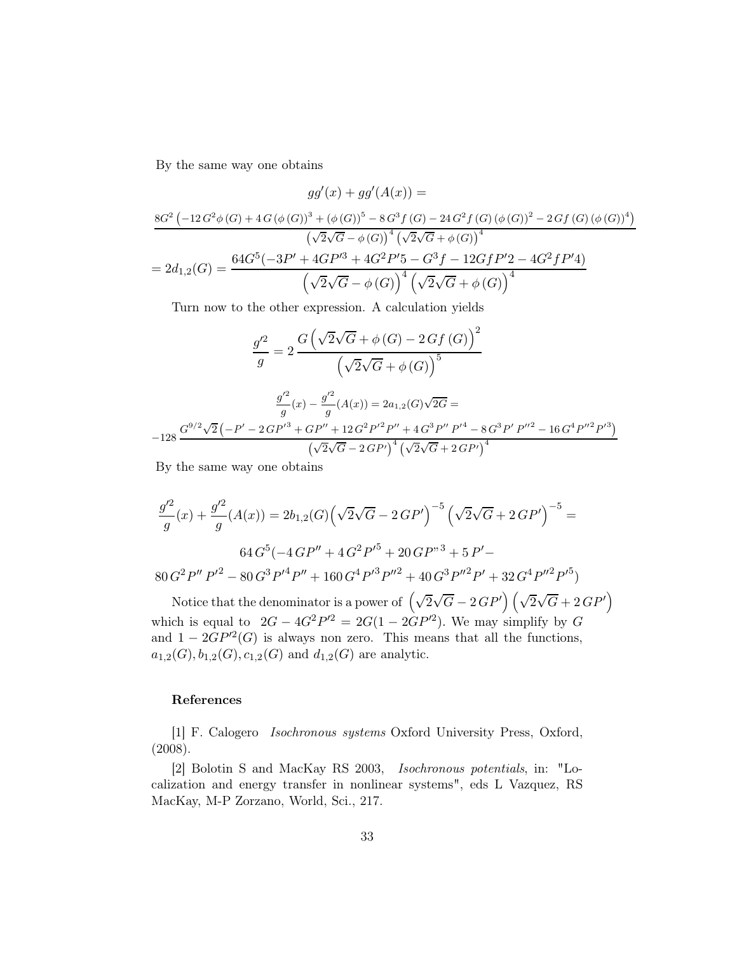By the same way one obtains

$$
gg'(x) + gg'(A(x)) =
$$
  
\n
$$
\frac{8G^2(-12G^2\phi(G) + 4G(\phi(G))^3 + (\phi(G))^5 - 8G^3f(G) - 24G^2f(G)(\phi(G))^2 - 2Gf(G)(\phi(G))^4)}{(\sqrt{2}\sqrt{G} - \phi(G))^4(\sqrt{2}\sqrt{G} + \phi(G))^4}
$$
  
\n
$$
= 2d_{1,2}(G) = \frac{64G^5(-3P' + 4GP'^3 + 4G^2P'^5 - G^3f - 12GfP'2 - 4G^2fP'4)}{(\sqrt{2}\sqrt{G} - \phi(G))^4(\sqrt{2}\sqrt{G} + \phi(G))^4}
$$

Turn now to the other expression. A calculation yields

$$
\frac{g'^2}{g} = 2 \frac{G\left(\sqrt{2}\sqrt{G} + \phi\left(G\right) - 2\,Gf\left(G\right)\right)^2}{\left(\sqrt{2}\sqrt{G} + \phi\left(G\right)\right)^5}
$$
\n
$$
\frac{g'^2}{g}(x) - \frac{g'^2}{g}(A(x)) = 2a_{1,2}(G)\sqrt{2G} =
$$
\n
$$
-128 \frac{G^{9/2}\sqrt{2}\left(-P' - 2\,G P'^3 + GP'' + 12\,G^2 P'^2 P'' + 4\,G^3 P'' P'^4 - 8\,G^3 P' P''^2 - 16\,G^4 P''^2 P'^3\right)}{\left(\sqrt{2}\sqrt{G} - 2\,GP'\right)^4 \left(\sqrt{2}\sqrt{G} + 2\,GP'\right)^4}
$$

By the same way one obtains

$$
\frac{g'^2}{g}(x) + \frac{g'^2}{g}(A(x)) = 2b_{1,2}(G)\left(\sqrt{2}\sqrt{G} - 2\,GP'\right)^{-5}\left(\sqrt{2}\sqrt{G} + 2\,GP'\right)^{-5} =
$$
  
64  $G^5(-4\,GP'' + 4\,G^2P'^5 + 20\,GP''^3 + 5\,P' -$   
80  $G^2P''P'^2 - 80\,G^3P'^4P'' + 160\,G^4P'^3P''^2 + 40\,G^3P''^2P' + 32\,G^4P''^2P'^5)$ 

Notice that the denominator is a power of  $\left(\sqrt{2}\sqrt{G} - 2\,GP'\right)\left(\sqrt{2}\sqrt{G} + 2\,GP'\right)$ which is equal to  $2G - 4G^2P^2 = 2G(1 - 2GP^2)$ . We may simplify by G and  $1 - 2GP^2(G)$  is always non zero. This means that all the functions,  $a_{1,2}(G), b_{1,2}(G), c_{1,2}(G)$  and  $d_{1,2}(G)$  are analytic.

### References

[1] F. Calogero Isochronous systems Oxford University Press, Oxford, (2008).

[2] Bolotin S and MacKay RS 2003, Isochronous potentials, in: "Localization and energy transfer in nonlinear systems", eds L Vazquez, RS MacKay, M-P Zorzano, World, Sci., 217.